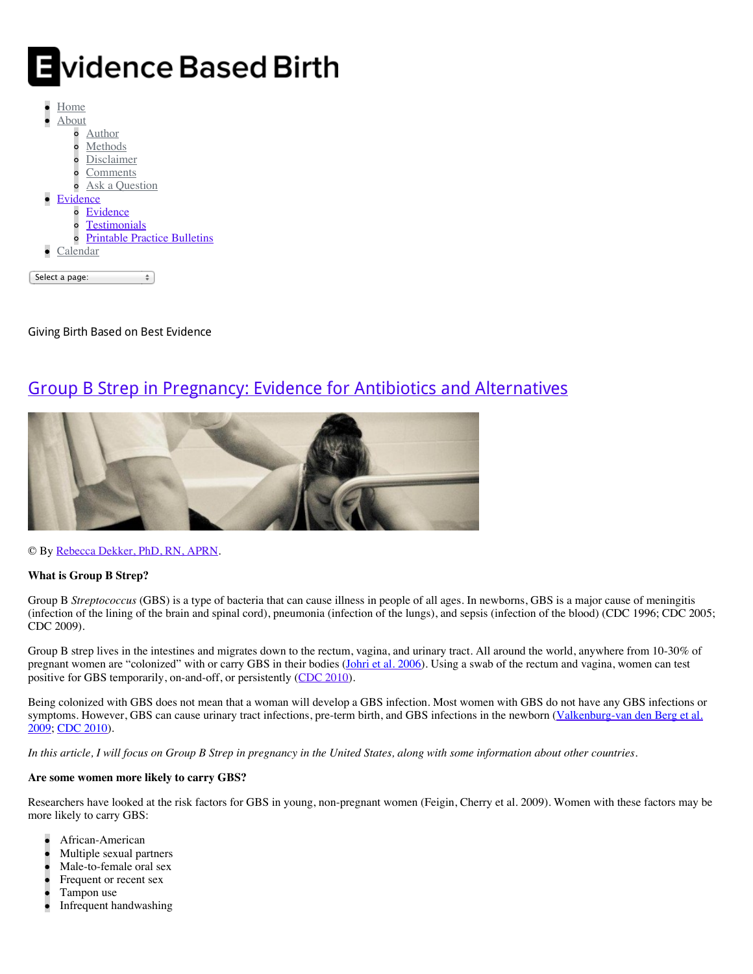# Evidence Based Birth

| Home           |                                     |  |
|----------------|-------------------------------------|--|
| About          |                                     |  |
|                | Author                              |  |
|                | Methods                             |  |
|                | Disclaimer                          |  |
| $\circ$        | Comments                            |  |
|                | Ask a Question                      |  |
| • Evidence     |                                     |  |
|                | Evidence                            |  |
|                | <b>Testimonials</b>                 |  |
|                | <b>Printable Practice Bulletins</b> |  |
| Calendar       |                                     |  |
|                |                                     |  |
| Select a page: |                                     |  |

Giving Birth Based on Best Evidence

# [Group B Strep in Pregnancy: Evidence for Antibiotics and Alternatives](http://evidencebasedbirth.com/groupbstrep/)



© By [Rebecca Dekker, PhD, RN, APRN.](http://evidencebasedbirth.com/about-2/about/)

# **What is Group B Strep?**

Group B *Streptococcus* (GBS) is a type of bacteria that can cause illness in people of all ages. In newborns, GBS is a major cause of meningitis (infection of the lining of the brain and spinal cord), pneumonia (infection of the lungs), and sepsis (infection of the blood) (CDC 1996; CDC 2005; CDC 2009).

Group B strep lives in the intestines and migrates down to the rectum, vagina, and urinary tract. All around the world, anywhere from 10-30% of pregnant women are "colonized" with or carry GBS in their bodies (Johni et al. 2006). Using a swab of the rectum and vagina, women can test positive for GBS temporarily, on-and-off, or persistently [\(CDC 2010\)](http://www.cdc.gov/mmwr/preview/mmwrhtml/rr5910a1.htm?s_cid=rr5910a1_w).

Being colonized with GBS does not mean that a woman will develop a GBS infection. Most women with GBS do not have any GBS infections or [symptoms. However, GBS can cause urinary tract infections, pre-term birth, and GBS infections in the newborn \(Valkenburg-van den Berg et al.](http://www.ncbi.nlm.nih.gov/pubmed/19657755) 2009; [CDC 2010\)](http://www.cdc.gov/mmwr/preview/mmwrhtml/rr5910a1.htm?s_cid=rr5910a1_w).

*In this article, I will focus on Group B Strep in pregnancy in the United States, along with some information about other countries.*

## **Are some women more likely to carry GBS?**

Researchers have looked at the risk factors for GBS in young, non-pregnant women (Feigin, Cherry et al. 2009). Women with these factors may be more likely to carry GBS:

- African-American
- Multiple sexual partners
- Male-to-female oral sex
- Frequent or recent sex
- Tampon use
- Infrequent handwashing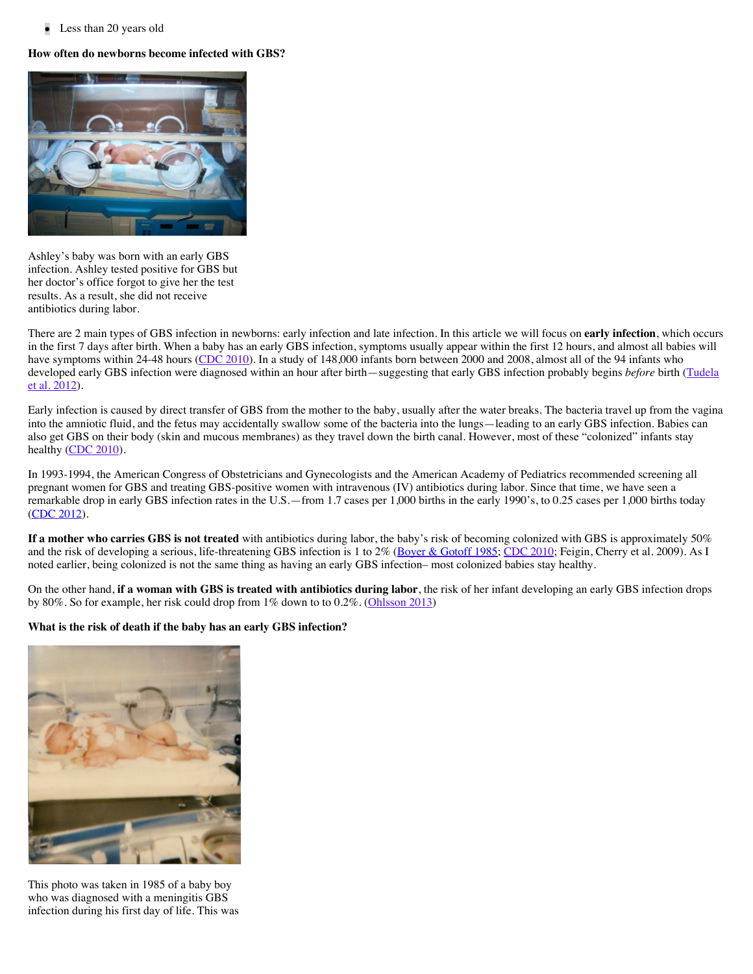• Less than 20 years old

## **How often do newborns become infected with GBS?**



Ashley's baby was born with an early GBS infection. Ashley tested positive for GBS but her doctor's office forgot to give her the test results. As a result, she did not receive antibiotics during labor.

There are 2 main types of GBS infection in newborns: early infection and late infection. In this article we will focus on **early infection**, which occurs in the first 7 days after birth. When a baby has an early GBS infection, symptoms usually appear within the first 12 hours, and almost all babies will have symptoms within 24-48 hours ([CDC 2010\)](http://www.cdc.gov/mmwr/preview/mmwrhtml/rr5910a1.htm?s_cid=rr5910a1_w). In a study of 148,000 infants born between 2000 and 2008, almost all of the 94 infants who [developed early GBS infection were diagnosed within an hour after birth—suggesting that early GBS infection probably begins](http://www.ncbi.nlm.nih.gov/pubmed/?term=22353962) *before* birth (Tudela et al. 2012).

Early infection is caused by direct transfer of GBS from the mother to the baby, usually after the water breaks. The bacteria travel up from the vagina into the amniotic fluid, and the fetus may accidentally swallow some of the bacteria into the lungs—leading to an early GBS infection. Babies can also get GBS on their body (skin and mucous membranes) as they travel down the birth canal. However, most of these "colonized" infants stay healthy [\(CDC 2010\)](http://www.cdc.gov/mmwr/preview/mmwrhtml/rr5910a1.htm?s_cid=rr5910a1_w).

In 1993-1994, the American Congress of Obstetricians and Gynecologists and the American Academy of Pediatrics recommended screening all pregnant women for GBS and treating GBS-positive women with intravenous (IV) antibiotics during labor. Since that time, we have seen a remarkable drop in early GBS infection rates in the U.S.—from 1.7 cases per 1,000 births in the early 1990's, to 0.25 cases per 1,000 births today ([CDC 2012\)](http://www.cdc.gov/abcs/reports-findings/survreports/gbs10.html).

**If a mother who carries GBS is not treated** with antibiotics during labor, the baby's risk of becoming colonized with GBS is approximately 50% and the risk of developing a serious, life-threatening GBS infection is 1 to 2% [\(Boyer & Gotoff 1985;](http://www.ncbi.nlm.nih.gov/pubmed/3931544) [CDC 2010;](http://www.cdc.gov/mmwr/preview/mmwrhtml/rr5910a1.htm?s_cid=rr5910a1_w) Feigin, Cherry et al. 2009). As I noted earlier, being colonized is not the same thing as having an early GBS infection– most colonized babies stay healthy.

On the other hand, **if a woman with GBS is treated with antibiotics during labor**, the risk of her infant developing an early GBS infection drops by 80%. So for example, her risk could drop from 1% down to to 0.2%. [\(Ohlsson 2013\)](http://www.ncbi.nlm.nih.gov/pubmed/23440815)

#### **What is the risk of death if the baby has an early GBS infection?**



This photo was taken in 1985 of a baby boy who was diagnosed with a meningitis GBS infection during his first day of life. This was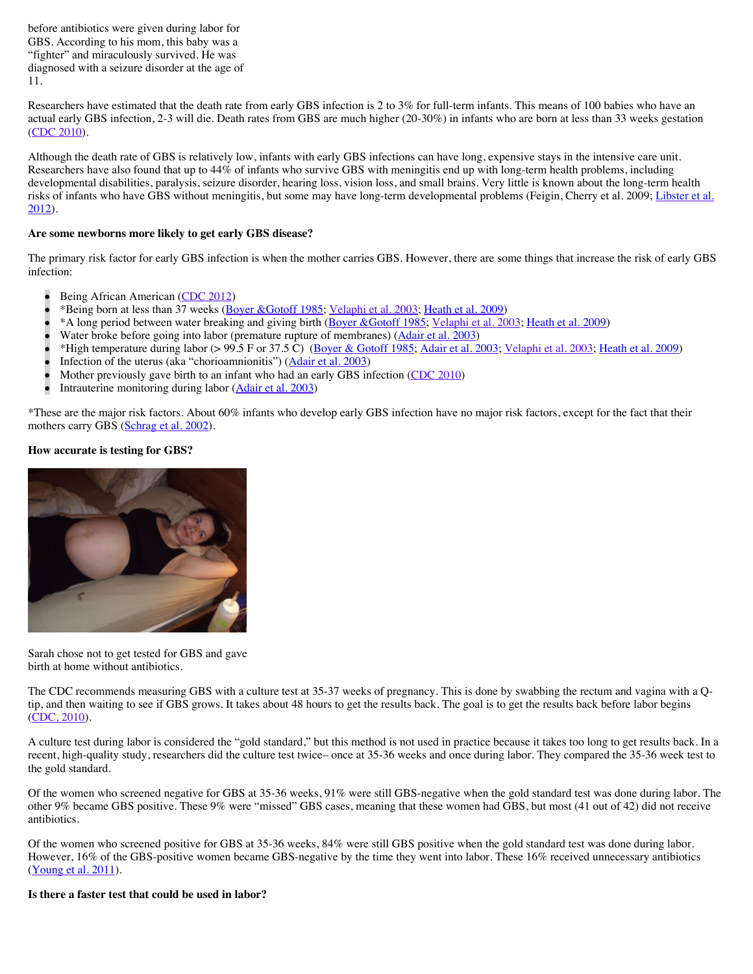before antibiotics were given during labor for GBS. According to his mom, this baby was a "fighter" and miraculously survived. He was diagnosed with a seizure disorder at the age of 11.

Researchers have estimated that the death rate from early GBS infection is 2 to 3% for full-term infants. This means of 100 babies who have an actual early GBS infection, 2-3 will die. Death rates from GBS are much higher (20-30%) in infants who are born at less than 33 weeks gestation ([CDC 2010\)](http://www.cdc.gov/mmwr/preview/mmwrhtml/rr5910a1.htm?s_cid=rr5910a1_w).

Although the death rate of GBS is relatively low, infants with early GBS infections can have long, expensive stays in the intensive care unit. Researchers have also found that up to 44% of infants who survive GBS with meningitis end up with long-term health problems, including developmental disabilities, paralysis, seizure disorder, hearing loss, vision loss, and small brains. Very little is known about the long-term health [risks of infants who have GBS without meningitis, but some may have long-term developmental problems \(Feigin, Cherry et al. 2009; Libster et al.](http://www.ncbi.nlm.nih.gov/pubmed/22689869)  $2012$ ).

#### **Are some newborns more likely to get early GBS disease?**

The primary risk factor for early GBS infection is when the mother carries GBS. However, there are some things that increase the risk of early GBS infection:

- Being African American ([CDC 2012\)](http://www.cdc.gov/abcs/reports-findings/survreports/gbs10.html.)
- \*Being born at less than 37 weeks [\(Boyer &Gotoff 1985;](http://www.ncbi.nlm.nih.gov/pubmed/3931544) [Velaphi et al. 2003;](http://www.ncbi.nlm.nih.gov/pubmed/12612234) [Heath et al. 2009\)](http://www.ncbi.nlm.nih.gov/pubmed/19457879)
- \*A long period between water breaking and giving birth [\(Boyer &Gotoff 1985;](http://www.ncbi.nlm.nih.gov/pubmed/3931544) [Velaphi et al. 2003;](http://www.ncbi.nlm.nih.gov/pubmed/12612234) [Heath et al. 2009](http://www.ncbi.nlm.nih.gov/pubmed/19457879))
- Water broke before going into labor (premature rupture of membranes) [\(Adair et al. 2003\)](http://www.ncbi.nlm.nih.gov/pubmed/12900477)
- \*High temperature during labor (> 99.5 F or 37.5 C) [\(Boyer & Gotoff 1985;](http://www.ncbi.nlm.nih.gov/pubmed/3931544) [Adair et al. 2003;](http://www.ncbi.nlm.nih.gov/pubmed/12900477) [Velaphi et al. 2003;](http://www.ncbi.nlm.nih.gov/pubmed/12612234) [Heath et al. 2009\)](http://www.ncbi.nlm.nih.gov/pubmed/19457879)
- Infection of the uterus (aka "chorioamnionitis") [\(Adair et al. 2003\)](http://www.ncbi.nlm.nih.gov/pubmed/12900477)
- Mother previously gave birth to an infant who had an early GBS infection [\(CDC 2010](http://www.cdc.gov/mmwr/preview/mmwrhtml/rr5910a1.htm?s_cid=rr5910a1_w))
- Intrauterine monitoring during labor [\(Adair et al. 2003\)](http://www.ncbi.nlm.nih.gov/pubmed/12900477)

\*These are the major risk factors. About 60% infants who develop early GBS infection have no major risk factors, except for the fact that their mothers carry GBS [\(Schrag et al. 2002\)](http://www.nejm.org/doi/full/10.1056/NEJMoa020205#t=abstract).

#### **How accurate is testing for GBS?**



Sarah chose not to get tested for GBS and gave birth at home without antibiotics.

The CDC recommends measuring GBS with a culture test at 35-37 weeks of pregnancy. This is done by swabbing the rectum and vagina with a Qtip, and then waiting to see if GBS grows. It takes about 48 hours to get the results back. The goal is to get the results back before labor begins ([CDC, 2010\)](http://www.cdc.gov/mmwr/preview/mmwrhtml/rr5910a1.htm?s_cid=rr5910a1_w).

A culture test during labor is considered the "gold standard," but this method is not used in practice because it takes too long to get results back. In a recent, high-quality study, researchers did the culture test twice– once at 35-36 weeks and once during labor. They compared the 35-36 week test to the gold standard.

Of the women who screened negative for GBS at 35-36 weeks, 91% were still GBS-negative when the gold standard test was done during labor. The other 9% became GBS positive. These 9% were "missed" GBS cases, meaning that these women had GBS, but most (41 out of 42) did not receive antibiotics.

Of the women who screened positive for GBS at 35-36 weeks, 84% were still GBS positive when the gold standard test was done during labor. However, 16% of the GBS-positive women became GBS-negative by the time they went into labor. These 16% received unnecessary antibiotics ([Young et al. 2011\)](http://www.ncbi.nlm.nih.gov/pubmed/21864820).

#### **Is there a faster test that could be used in labor?**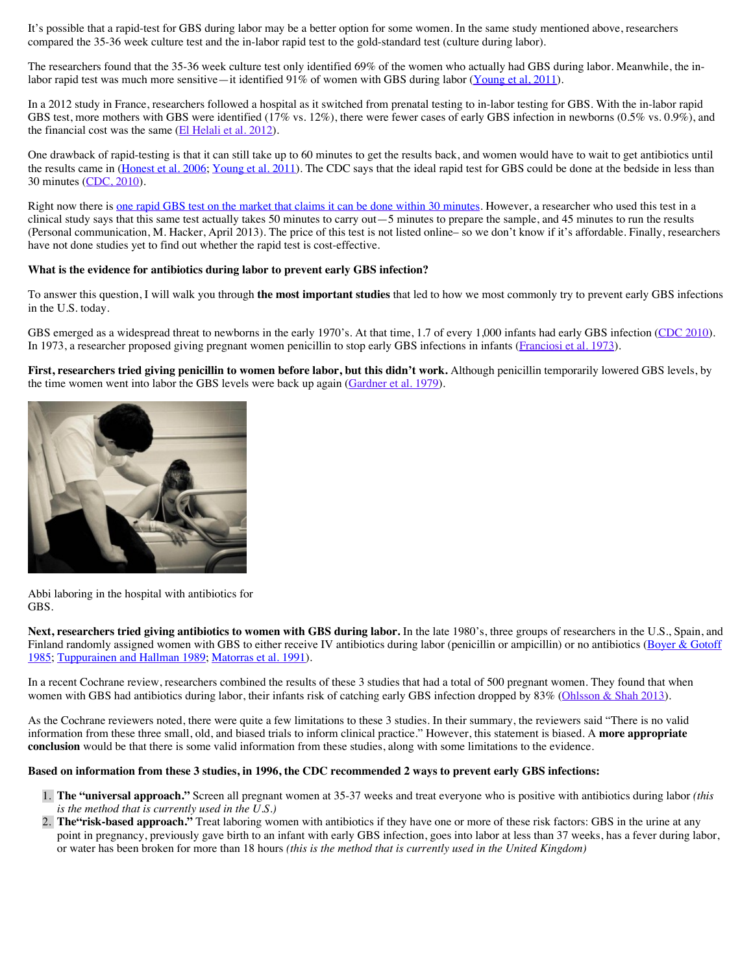It's possible that a rapid-test for GBS during labor may be a better option for some women. In the same study mentioned above, researchers compared the 35-36 week culture test and the in-labor rapid test to the gold-standard test (culture during labor).

The researchers found that the 35-36 week culture test only identified 69% of the women who actually had GBS during labor. Meanwhile, the in-labor rapid test was much more sensitive—it identified 91% of women with GBS during labor [\(Young et al, 2011\)](http://www.ncbi.nlm.nih.gov/pubmed/21864820).

In a 2012 study in France, researchers followed a hospital as it switched from prenatal testing to in-labor testing for GBS. With the in-labor rapid GBS test, more mothers with GBS were identified (17% vs. 12%), there were fewer cases of early GBS infection in newborns (0.5% vs. 0.9%), and the financial cost was the same [\(El Helali et al. 2012\)](http://www.ncbi.nlm.nih.gov/pubmed/22433346).

One drawback of rapid-testing is that it can still take up to 60 minutes to get the results back, and women would have to wait to get antibiotics until the results came in [\(Honest et al. 2006;](http://www.nejm.org/doi/full/10.1056/NEJMoa0806820) [Young et al. 2011\)](http://www.ncbi.nlm.nih.gov/pubmed/21864820). The CDC says that the ideal rapid test for GBS could be done at the bedside in less than 30 minutes [\(CDC, 2010](http://www.cdc.gov/mmwr/preview/mmwrhtml/rr5910a1.htm?s_cid=rr5910a1_w)).

Right now there is [one rapid GBS test on the market that claims it can be done within 30 minutes.](http://www.cepheid.com/tests-and-reagents/clinical-ivd-test/xpert-gbs) However, a researcher who used this test in a clinical study says that this same test actually takes 50 minutes to carry out—5 minutes to prepare the sample, and 45 minutes to run the results (Personal communication, M. Hacker, April 2013). The price of this test is not listed online– so we don't know if it's affordable. Finally, researchers have not done studies yet to find out whether the rapid test is cost-effective.

#### **What is the evidence for antibiotics during labor to prevent early GBS infection?**

To answer this question, I will walk you through **the most important studies** that led to how we most commonly try to prevent early GBS infections in the U.S. today.

GBS emerged as a widespread threat to newborns in the early 1970's. At that time, 1.7 of every 1,000 infants had early GBS infection [\(CDC 2010\)](http://www.cdc.gov/mmwr/preview/mmwrhtml/rr5910a1.htm?s_cid=rr5910a1_w). In 1973, a researcher proposed giving pregnant women penicillin to stop early GBS infections in infants [\(Franciosi et al. 1973\)](http://www.ncbi.nlm.nih.gov/pubmed/4572747).

**First, researchers tried giving penicillin to women before labor, but this didn't work.** Although penicillin temporarily lowered GBS levels, by the time women went into labor the GBS levels were back up again ([Gardner et al. 1979\)](http://www.ncbi.nlm.nih.gov/pubmed/391044).



Abbi laboring in the hospital with antibiotics for GBS.

**Next, researchers tried giving antibiotics to women with GBS during labor.** In the late 1980's, three groups of researchers in the U.S., Spain, and [Finland randomly assigned women with GBS to either receive IV antibiotics during labor \(penicillin or ampicillin\) or no antibiotics \(Boyer & Gotoff](http://www.ncbi.nlm.nih.gov/pubmed/3520319) 1985; [Tuppurainen and Hallman 1989;](http://www.ncbi.nlm.nih.gov/pubmed/2494620) [Matorras et al. 1991\)](http://www.ncbi.nlm.nih.gov/pubmed/2007445).

In a recent Cochrane review, researchers combined the results of these 3 studies that had a total of 500 pregnant women. They found that when women with GBS had antibiotics during labor, their infants risk of catching early GBS infection dropped by 83% [\(Ohlsson & Shah 2013\)](http://www.ncbi.nlm.nih.gov/pubmed/23440815).

As the Cochrane reviewers noted, there were quite a few limitations to these 3 studies. In their summary, the reviewers said "There is no valid information from these three small, old, and biased trials to inform clinical practice." However, this statement is biased. A **more appropriate conclusion** would be that there is some valid information from these studies, along with some limitations to the evidence.

#### **Based on information from these 3 studies, in 1996, the CDC recommended 2 ways to prevent early GBS infections:**

- 1. **The "universal approach."** Screen all pregnant women at 35-37 weeks and treat everyone who is positive with antibiotics during labor *(this is the method that is currently used in the U.S.)*
- 2. **The"risk-based approach."** Treat laboring women with antibiotics if they have one or more of these risk factors: GBS in the urine at any point in pregnancy, previously gave birth to an infant with early GBS infection, goes into labor at less than 37 weeks, has a fever during labor, or water has been broken for more than 18 hours *(this is the method that is currently used in the United Kingdom)*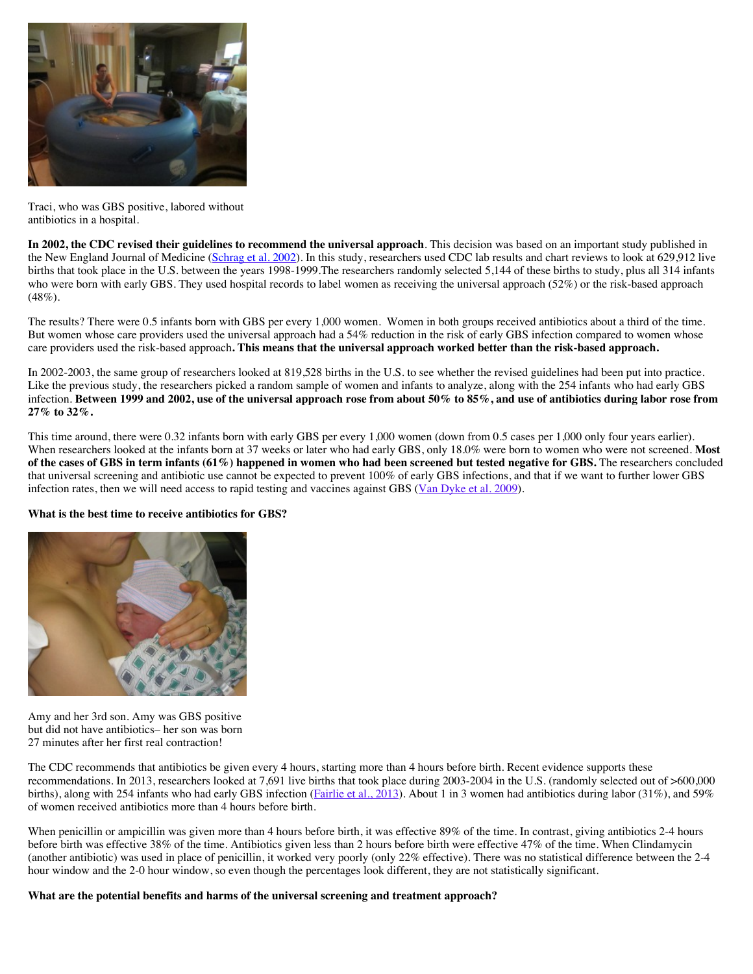

Traci, who was GBS positive, labored without antibiotics in a hospital.

**In 2002, the CDC revised their guidelines to recommend the universal approach**. This decision was based on an important study published in the New England Journal of Medicine [\(Schrag et al. 2002\)](http://www.nejm.org/doi/full/10.1056/NEJMoa020205#t=abstract). In this study, researchers used CDC lab results and chart reviews to look at 629,912 live births that took place in the U.S. between the years 1998-1999.The researchers randomly selected 5,144 of these births to study, plus all 314 infants who were born with early GBS. They used hospital records to label women as receiving the universal approach (52%) or the risk-based approach  $(48\%).$ 

The results? There were 0.5 infants born with GBS per every 1,000 women. Women in both groups received antibiotics about a third of the time. But women whose care providers used the universal approach had a 54% reduction in the risk of early GBS infection compared to women whose care providers used the risk-based approach**. This means that the universal approach worked better than the risk-based approach.**

In 2002-2003, the same group of researchers looked at 819,528 births in the U.S. to see whether the revised guidelines had been put into practice. Like the previous study, the researchers picked a random sample of women and infants to analyze, along with the 254 infants who had early GBS infection. **Between 1999 and 2002, use of the universal approach rose from about 50% to 85%, and use of antibiotics during labor rose from 27% to 32%.**

This time around, there were 0.32 infants born with early GBS per every 1,000 women (down from 0.5 cases per 1,000 only four years earlier). When researchers looked at the infants born at 37 weeks or later who had early GBS, only 18.0% were born to women who were not screened. **Most of the cases of GBS in term infants (61%) happened in women who had been screened but tested negative for GBS.** The researchers concluded that universal screening and antibiotic use cannot be expected to prevent 100% of early GBS infections, and that if we want to further lower GBS infection rates, then we will need access to rapid testing and vaccines against GBS [\(Van Dyke et al. 2009](http://www.nejm.org/doi/full/10.1056/NEJMoa0806820)).

#### **What is the best time to receive antibiotics for GBS?**



Amy and her 3rd son. Amy was GBS positive but did not have antibiotics– her son was born 27 minutes after her first real contraction!

The CDC recommends that antibiotics be given every 4 hours, starting more than 4 hours before birth. Recent evidence supports these recommendations. In 2013, researchers looked at 7,691 live births that took place during 2003-2004 in the U.S. (randomly selected out of >600,000 births), along with 254 infants who had early GBS infection [\(Fairlie et al., 2013\)](http://journals.lww.com/greenjournal/Fulltext/2013/03000/Effectiveness_of_Intrapartum_Antibiotic.12.aspx#). About 1 in 3 women had antibiotics during labor (31%), and 59% of women received antibiotics more than 4 hours before birth.

When penicillin or ampicillin was given more than 4 hours before birth, it was effective 89% of the time. In contrast, giving antibiotics 2-4 hours before birth was effective 38% of the time. Antibiotics given less than 2 hours before birth were effective 47% of the time. When Clindamycin (another antibiotic) was used in place of penicillin, it worked very poorly (only 22% effective). There was no statistical difference between the 2-4 hour window and the 2-0 hour window, so even though the percentages look different, they are not statistically significant.

**What are the potential benefits and harms of the universal screening and treatment approach?**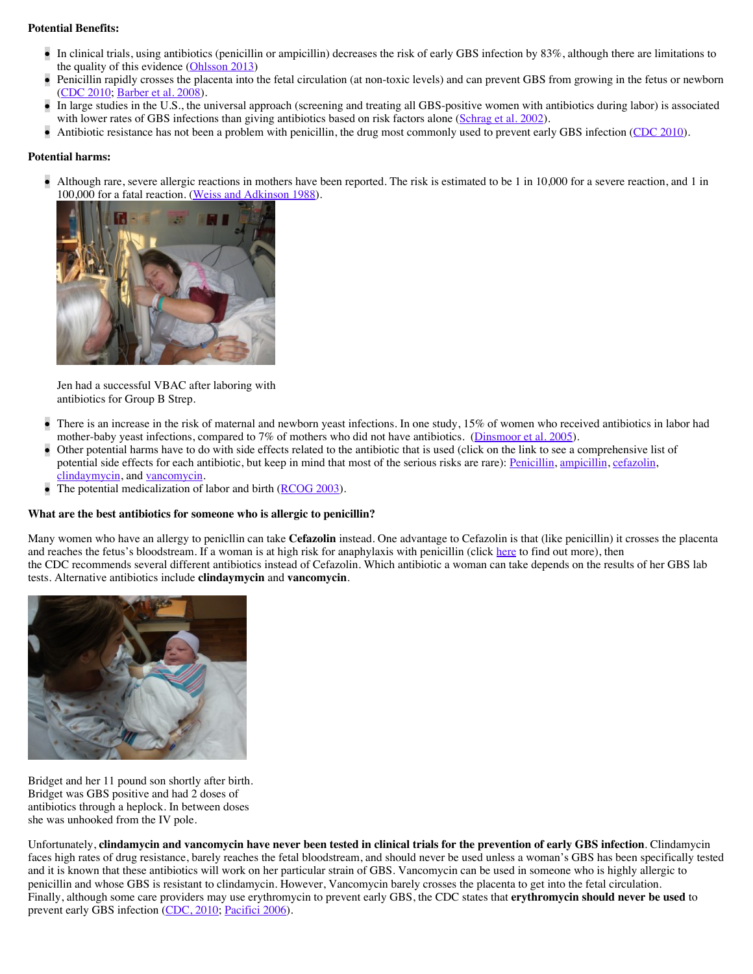#### **Potential Benefits:**

- In clinical trials, using antibiotics (penicillin or ampicillin) decreases the risk of early GBS infection by 83%, although there are limitations to the quality of this evidence [\(Ohlsson 2013\)](http://www.ncbi.nlm.nih.gov/pubmed/23440815)
- Penicillin rapidly crosses the placenta into the fetal circulation (at non-toxic levels) and can prevent GBS from growing in the fetus or newborn [\(CDC 2010;](http://www.cdc.gov/mmwr/preview/mmwrhtml/rr5910a1.htm?s_cid=rr5910a1_w) [Barber et al. 2008](http://www.ncbi.nlm.nih.gov/pubmed/18669721)).
- In large studies in the U.S., the universal approach (screening and treating all GBS-positive women with antibiotics during labor) is associated with lower rates of GBS infections than giving antibiotics based on risk factors alone [\(Schrag et al. 2002\)](http://www.nejm.org/doi/full/10.1056/NEJMoa020205#t=abstract).
- Antibiotic resistance has not been a problem with penicillin, the drug most commonly used to prevent early GBS infection [\(CDC 2010\)](http://www.cdc.gov/mmwr/preview/mmwrhtml/rr5910a1.htm?s_cid=rr5910a1_w).

#### **Potential harms:**

Although rare, severe allergic reactions in mothers have been reported. The risk is estimated to be 1 in 10,000 for a severe reaction, and 1 in 100,000 for a fatal reaction. ([Weiss and Adkinson 1988\)](http://www.ncbi.nlm.nih.gov/pubmed/2977302).



Jen had a successful VBAC after laboring with antibiotics for Group B Strep.

- There is an increase in the risk of maternal and newborn yeast infections. In one study, 15% of women who received antibiotics in labor had mother-baby yeast infections, compared to 7% of mothers who did not have antibiotics. ([Dinsmoor et al. 2005\)](http://www.ncbi.nlm.nih.gov/pubmed/15994612).
- Other potential harms have to do with side effects related to the antibiotic that is used (click on the link to see a comprehensive list of potential side effects for each antibiotic, but keep in mind that most of the serious risks are rare): [Penicillin,](http://www.drugs.com/sfx/penicillin-side-effects.html) [ampicillin,](http://www.drugs.com/sfx/ampicillin-side-effects.html) [cefazolin,](http://www.drugs.com/sfx/cefazolin-side-effects.html) [clindaymycin,](http://www.drugs.com/sfx/clindamycin-side-effects.html) and [vancomycin.](http://www.drugs.com/sfx/vancomycin-side-effects.html)
- The potential medicalization of labor and birth [\(RCOG 2003](http://www.rcog.org.uk/files/rcog-corp/uploaded-files/GT36GroupBStrep2003.pdf)).

#### **What are the best antibiotics for someone who is allergic to penicillin?**

Many women who have an allergy to penicllin can take **Cefazolin** instead. One advantage to Cefazolin is that (like penicillin) it crosses the placenta and reaches the fetus's bloodstream. If a woman is at high risk for anaphylaxis with penicillin (click [here](http://www.webmd.com/allergies/guide/penicillin-allergy-topic-overview) to find out more), then the CDC recommends several different antibiotics instead of Cefazolin. Which antibiotic a woman can take depends on the results of her GBS lab tests. Alternative antibiotics include **clindaymycin** and **vancomycin**.



Bridget and her 11 pound son shortly after birth. Bridget was GBS positive and had 2 doses of antibiotics through a heplock. In between doses she was unhooked from the IV pole.

Unfortunately, **clindamycin and vancomycin have never been tested in clinical trials for the prevention of early GBS infection**. Clindamycin faces high rates of drug resistance, barely reaches the fetal bloodstream, and should never be used unless a woman's GBS has been specifically tested and it is known that these antibiotics will work on her particular strain of GBS. Vancomycin can be used in someone who is highly allergic to penicillin and whose GBS is resistant to clindamycin. However, Vancomycin barely crosses the placenta to get into the fetal circulation. Finally, although some care providers may use erythromycin to prevent early GBS, the CDC states that **erythromycin should never be used** to prevent early GBS infection ([CDC, 2010;](http://www.cdc.gov/mmwr/preview/mmwrhtml/rr5910a1.htm?s_cid=rr5910a1_w) [Pacifici 2006\)](http://www.ncbi.nlm.nih.gov/pubmed/16502764).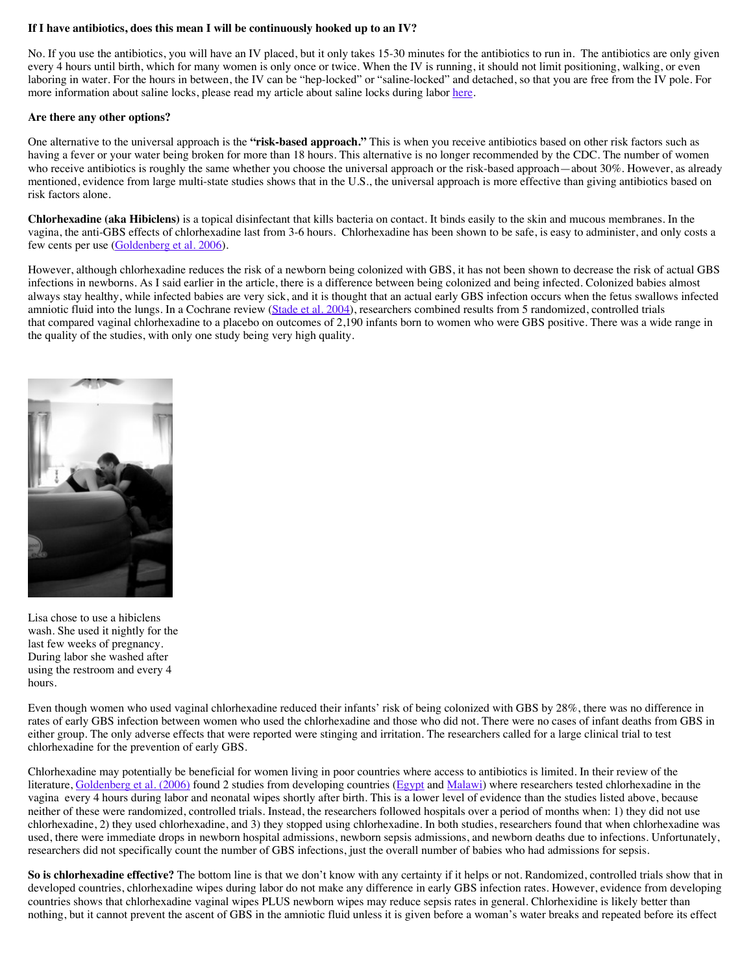#### **If I have antibiotics, does this mean I will be continuously hooked up to an IV?**

No. If you use the antibiotics, you will have an IV placed, but it only takes 15-30 minutes for the antibiotics to run in. The antibiotics are only given every 4 hours until birth, which for many women is only once or twice. When the IV is running, it should not limit positioning, walking, or even laboring in water. For the hours in between, the IV can be "hep-locked" or "saline-locked" and detached, so that you are free from the IV pole. For more information about saline locks, please read my article about saline locks during labor [here.](http://evidencebasedbirth.com/the-saline-lock-during-labor/)

#### **Are there any other options?**

One alternative to the universal approach is the **"risk-based approach."** This is when you receive antibiotics based on other risk factors such as having a fever or your water being broken for more than 18 hours. This alternative is no longer recommended by the CDC. The number of women who receive antibiotics is roughly the same whether you choose the universal approach or the risk-based approach—about 30%. However, as already mentioned, evidence from large multi-state studies shows that in the U.S., the universal approach is more effective than giving antibiotics based on risk factors alone.

**Chlorhexadine (aka Hibiclens)** is a topical disinfectant that kills bacteria on contact. It binds easily to the skin and mucous membranes. In the vagina, the anti-GBS effects of chlorhexadine last from 3-6 hours. Chlorhexadine has been shown to be safe, is easy to administer, and only costs a few cents per use [\(Goldenberg et al. 2006\)](http://www.ncbi.nlm.nih.gov/pubmed/16648420).

However, although chlorhexadine reduces the risk of a newborn being colonized with GBS, it has not been shown to decrease the risk of actual GBS infections in newborns. As I said earlier in the article, there is a difference between being colonized and being infected. Colonized babies almost always stay healthy, while infected babies are very sick, and it is thought that an actual early GBS infection occurs when the fetus swallows infected amniotic fluid into the lungs. In a Cochrane review [\(Stade et al. 2004\)](http://www.ncbi.nlm.nih.gov/pubmed/15266490), researchers combined results from 5 randomized, controlled trials that compared vaginal chlorhexadine to a placebo on outcomes of 2,190 infants born to women who were GBS positive. There was a wide range in the quality of the studies, with only one study being very high quality.



Lisa chose to use a hibiclens wash. She used it nightly for the last few weeks of pregnancy. During labor she washed after using the restroom and every 4 hours.

Even though women who used vaginal chlorhexadine reduced their infants' risk of being colonized with GBS by 28%, there was no difference in rates of early GBS infection between women who used the chlorhexadine and those who did not. There were no cases of infant deaths from GBS in either group. The only adverse effects that were reported were stinging and irritation. The researchers called for a large clinical trial to test chlorhexadine for the prevention of early GBS.

Chlorhexadine may potentially be beneficial for women living in poor countries where access to antibiotics is limited. In their review of the literature, [Goldenberg et al. \(2006\)](http://www.ncbi.nlm.nih.gov/pubmed/16648420) found 2 studies from developing countries [\(Egypt](http://www.ncbi.nlm.nih.gov/pubmed/?term=16115003) and [Malawi\)](http://www.ncbi.nlm.nih.gov/pmc/articles/PMC2127178/pdf/9253269.pdf) where researchers tested chlorhexadine in the vagina every 4 hours during labor and neonatal wipes shortly after birth. This is a lower level of evidence than the studies listed above, because neither of these were randomized, controlled trials. Instead, the researchers followed hospitals over a period of months when: 1) they did not use chlorhexadine, 2) they used chlorhexadine, and 3) they stopped using chlorhexadine. In both studies, researchers found that when chlorhexadine was used, there were immediate drops in newborn hospital admissions, newborn sepsis admissions, and newborn deaths due to infections. Unfortunately, researchers did not specifically count the number of GBS infections, just the overall number of babies who had admissions for sepsis.

So is chlorhexadine effective? The bottom line is that we don't know with any certainty if it helps or not. Randomized, controlled trials show that in developed countries, chlorhexadine wipes during labor do not make any difference in early GBS infection rates. However, evidence from developing countries shows that chlorhexadine vaginal wipes PLUS newborn wipes may reduce sepsis rates in general. Chlorhexidine is likely better than nothing, but it cannot prevent the ascent of GBS in the amniotic fluid unless it is given before a woman's water breaks and repeated before its effect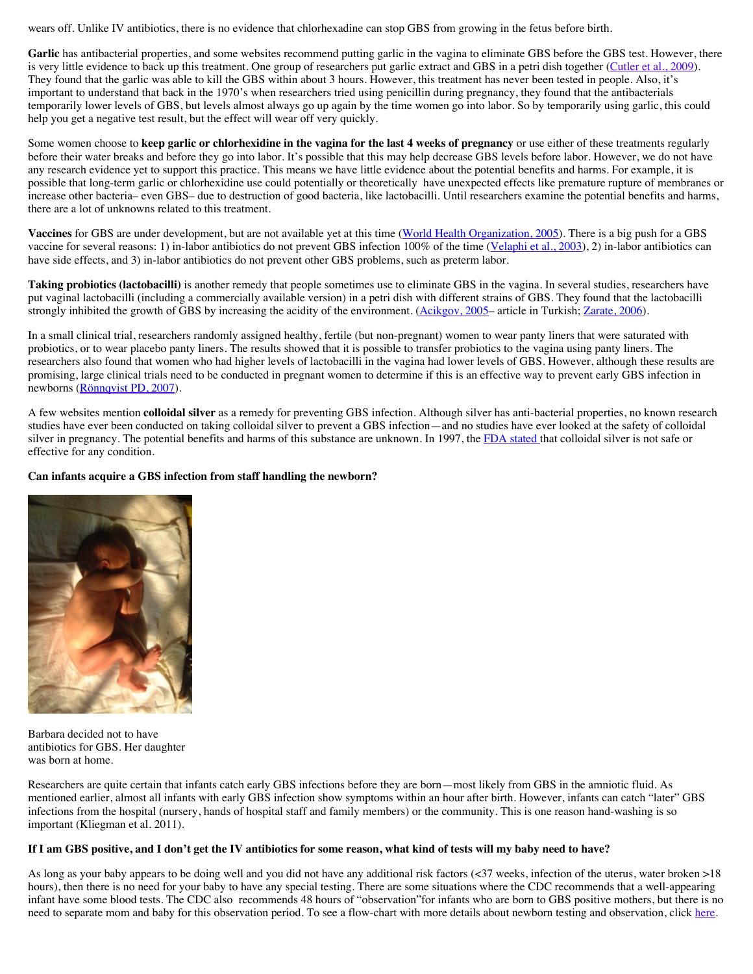wears off. Unlike IV antibiotics, there is no evidence that chlorhexadine can stop GBS from growing in the fetus before birth.

Garlic has antibacterial properties, and some websites recommend putting garlic in the vagina to eliminate GBS before the GBS test. However, there is very little evidence to back up this treatment. One group of researchers put garlic extract and GBS in a petri dish together [\(Cutler et al., 2009](http://www.ncbi.nlm.nih.gov/pubmed/19001449)). They found that the garlic was able to kill the GBS within about 3 hours. However, this treatment has never been tested in people. Also, it's important to understand that back in the 1970's when researchers tried using penicillin during pregnancy, they found that the antibacterials temporarily lower levels of GBS, but levels almost always go up again by the time women go into labor. So by temporarily using garlic, this could help you get a negative test result, but the effect will wear off very quickly.

Some women choose to **keep garlic or chlorhexidine in the vagina for the last 4 weeks of pregnancy** or use either of these treatments regularly before their water breaks and before they go into labor. It's possible that this may help decrease GBS levels before labor. However, we do not have any research evidence yet to support this practice. This means we have little evidence about the potential benefits and harms. For example, it is possible that long-term garlic or chlorhexidine use could potentially or theoretically have unexpected effects like premature rupture of membranes or increase other bacteria– even GBS– due to destruction of good bacteria, like lactobacilli. Until researchers examine the potential benefits and harms, there are a lot of unknowns related to this treatment.

**Vaccines** for GBS are under development, but are not available yet at this time [\(World Health Organization, 2005](http://www.who.int/vaccine_research/documents/Dip%20814.pdf)). There is a big push for a GBS vaccine for several reasons: 1) in-labor antibiotics do not prevent GBS infection 100% of the time ([Velaphi et al., 2003](http://www.ncbi.nlm.nih.gov/pubmed/12612234)), 2) in-labor antibiotics can have side effects, and 3) in-labor antibiotics do not prevent other GBS problems, such as preterm labor.

**Taking probiotics (lactobacilli)** is another remedy that people sometimes use to eliminate GBS in the vagina. In several studies, researchers have put vaginal lactobacilli (including a commercially available version) in a petri dish with different strains of GBS. They found that the lactobacilli strongly inhibited the growth of GBS by increasing the acidity of the environment. [\(Acikgov, 2005–](http://www.ncbi.nlm.nih.gov/pubmed/15900833) article in Turkish; [Zarate, 2006\)](http://www.ncbi.nlm.nih.gov/pubmed/16869901).

In a small clinical trial, researchers randomly assigned healthy, fertile (but non-pregnant) women to wear panty liners that were saturated with probiotics, or to wear placebo panty liners. The results showed that it is possible to transfer probiotics to the vagina using panty liners. The researchers also found that women who had higher levels of lactobacilli in the vagina had lower levels of GBS. However, although these results are promising, large clinical trials need to be conducted in pregnant women to determine if this is an effective way to prevent early GBS infection in newborns [\(Rönnqvist PD, 2007](http://www.ncbi.nlm.nih.gov/pubmed/16752267)).

A few websites mention **colloidal silver** as a remedy for preventing GBS infection. Although silver has anti-bacterial properties, no known research studies have ever been conducted on taking colloidal silver to prevent a GBS infection—and no studies have ever looked at the safety of colloidal silver in pregnancy. The potential benefits and harms of this substance are unknown. In 1997, the [FDA stated t](http://www.webmd.com/vitamins-supplements/ingredientmono-779-COLLOIDAL%20SILVER.aspx?activeIngredientId=779&activeIngredientName=COLLOIDAL%20SILVER)hat colloidal silver is not safe or effective for any condition.

#### **Can infants acquire a GBS infection from staff handling the newborn?**



Barbara decided not to have antibiotics for GBS. Her daughter was born at home.

Researchers are quite certain that infants catch early GBS infections before they are born—most likely from GBS in the amniotic fluid. As mentioned earlier, almost all infants with early GBS infection show symptoms within an hour after birth. However, infants can catch "later" GBS infections from the hospital (nursery, hands of hospital staff and family members) or the community. This is one reason hand-washing is so important (Kliegman et al. 2011).

#### **If I am GBS positive, and I don't get the IV antibiotics for some reason, what kind of tests will my baby need to have?**

As long as your baby appears to be doing well and you did not have any additional risk factors (<37 weeks, infection of the uterus, water broken >18 hours), then there is no need for your baby to have any special testing. There are some situations where the CDC recommends that a well-appearing infant have some blood tests. The CDC also recommends 48 hours of "observation"for infants who are born to GBS positive mothers, but there is no need to separate mom and baby for this observation period. To see a flow-chart with more details about newborn testing and observation, click [here.](http://www.cdc.gov/mmwr/preview/mmwrhtml/rr5910a1.htm?s_cid=rr5910a1_w#Fig9)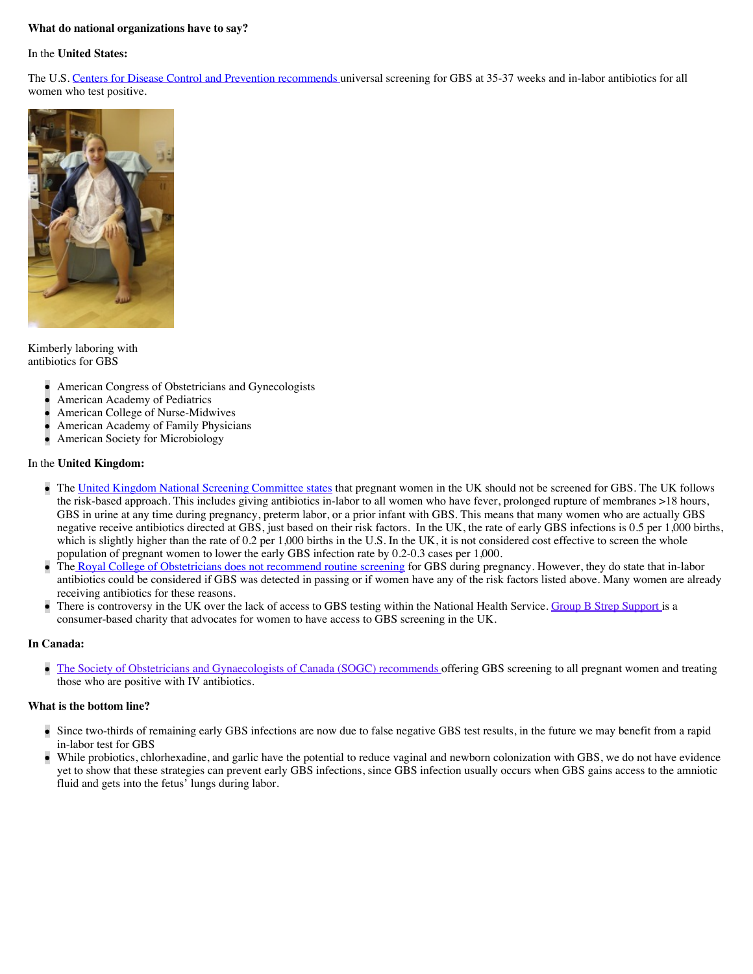#### **What do national organizations have to say?**

#### In the **United States:**

The U.S. [Centers for Disease Control and Prevention recommends u](http://www.cdc.gov/mmwr/preview/mmwrhtml/rr5910a1.htm?s_cid=rr5910a1_w)niversal screening for GBS at 35-37 weeks and in-labor antibiotics for all women who test positive.



Kimberly laboring with antibiotics for GBS

- American Congress of Obstetricians and Gynecologists
- American Academy of Pediatrics
- American College of Nurse-Midwives
- American Academy of Family Physicians
- American Society for Microbiology

#### In the **United Kingdom:**

- The [United Kingdom National Screening Committee states](http://www.screening.nhs.uk/groupbstreptococcus) that pregnant women in the UK should not be screened for GBS. The UK follows the risk-based approach. This includes giving antibiotics in-labor to all women who have fever, prolonged rupture of membranes >18 hours, GBS in urine at any time during pregnancy, preterm labor, or a prior infant with GBS. This means that many women who are actually GBS negative receive antibiotics directed at GBS, just based on their risk factors. In the UK, the rate of early GBS infections is 0.5 per 1,000 births, which is slightly higher than the rate of 0.2 per 1,000 births in the U.S. In the UK, it is not considered cost effective to screen the whole population of pregnant women to lower the early GBS infection rate by 0.2-0.3 cases per 1,000.
- Th[e Royal College of Obstetricians does not recommend routine screening](http://www.rcog.org.uk/files/rcog-corp/uploaded-files/GT36GroupBStrep2003.pdf) for GBS during pregnancy. However, they do state that in-labor antibiotics could be considered if GBS was detected in passing or if women have any of the risk factors listed above. Many women are already receiving antibiotics for these reasons.
- There is controversy in the UK over the lack of access to GBS testing within the National Health Service. [Group B Strep Support](http://www.gbss.org.uk/index.php) is a consumer-based charity that advocates for women to have access to GBS screening in the UK.

#### **In Canada:**

[The Society of Obstetricians and Gynaecologists of Canada \(SOGC\) recommends](http://www.sogc.org/guidelines/public/149E-CPG-September2004.pdf) offering GBS screening to all pregnant women and treating those who are positive with IV antibiotics.

#### **What is the bottom line?**

- Since two-thirds of remaining early GBS infections are now due to false negative GBS test results, in the future we may benefit from a rapid in-labor test for GBS
- While probiotics, chlorhexadine, and garlic have the potential to reduce vaginal and newborn colonization with GBS, we do not have evidence yet to show that these strategies can prevent early GBS infections, since GBS infection usually occurs when GBS gains access to the amniotic fluid and gets into the fetus' lungs during labor.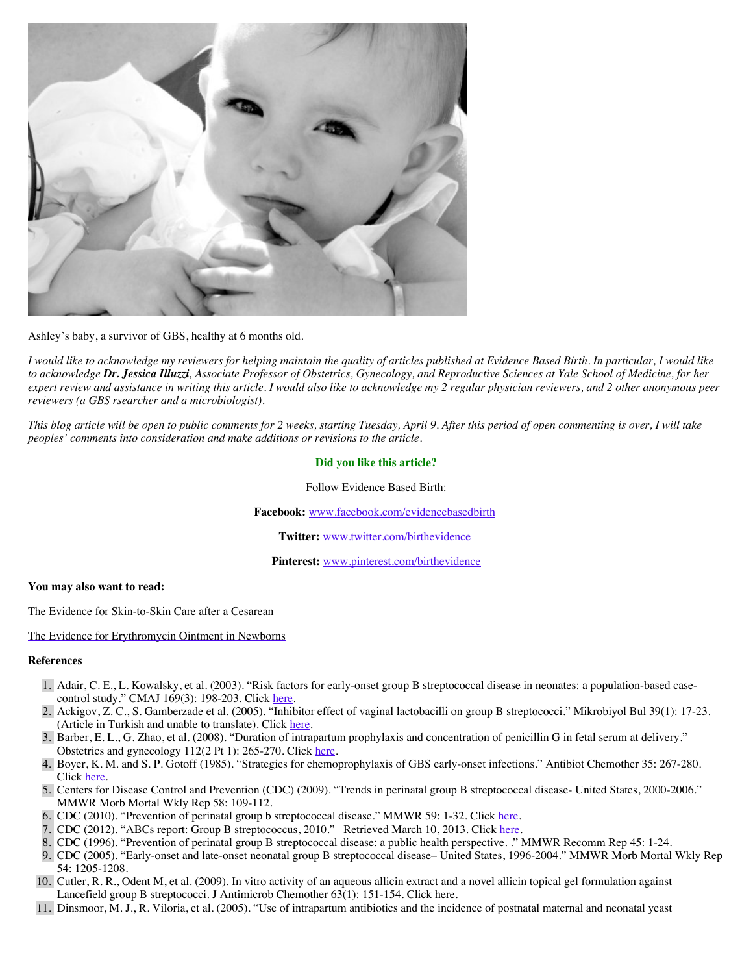

Ashley's baby, a survivor of GBS, healthy at 6 months old.

*I would like to acknowledge my reviewers for helping maintain the quality of articles published at Evidence Based Birth. In particular, I would like to acknowledge Dr. Jessica Illuzzi, Associate Professor of Obstetrics, Gynecology, and Reproductive Sciences at Yale School of Medicine, for her expert review and assistance in writing this article. I would also like to acknowledge my 2 regular physician reviewers, and 2 other anonymous peer reviewers (a GBS rsearcher and a microbiologist).*

*This blog article will be open to public comments for 2 weeks, starting Tuesday, April 9. After this period of open commenting is over, I will take peoples' comments into consideration and make additions or revisions to the article.*

#### **Did you like this article?**

Follow Evidence Based Birth:

**Facebook:** [www.facebook.com/evidencebasedbirth](http://www.facebook.com/evidencebasedbirth)

**Twitter:** [www.twitter.com/birthevidence](http://www.twitter.com/birthevidence)

**Pinterest:** [www.pinterest.com/birthevidence](http://www.pinterest.com/birthevidence)

#### **You may also want to read:**

[The Evidence for Skin-to-Skin Care after a Cesarean](http://evidencebasedbirth.com/the-evidence-for-skin-to-skin-care-after-a-cesarean/)

[The Evidence for Erythromycin Ointment in Newborns](http://evidencebasedbirth.com/is-erythromycin-eye-ointment-always-necessary-for-newborns/)

#### **References**

- 1. Adair, C. E., L. Kowalsky, et al. (2003). "Risk factors for early-onset group B streptococcal disease in neonates: a population-based casecontrol study." CMAJ 169(3): 198-203. Click [here.](http://www.ncbi.nlm.nih.gov/pubmed/12900477)
- 2. Ackigov, Z. C., S. Gamberzade et al. (2005). "Inhibitor effect of vaginal lactobacilli on group B streptococci." Mikrobiyol Bul 39(1): 17-23. (Article in Turkish and unable to translate). Click [here](http://www.ncbi.nlm.nih.gov/pubmed/15900833).
- 3. Barber, E. L., G. Zhao, et al. (2008). "Duration of intrapartum prophylaxis and concentration of penicillin G in fetal serum at delivery." Obstetrics and gynecology 112(2 Pt 1): 265-270. Click [here.](http://www.ncbi.nlm.nih.gov/pubmed/18669721)
- 4. Boyer, K. M. and S. P. Gotoff (1985). "Strategies for chemoprophylaxis of GBS early-onset infections." Antibiot Chemother 35: 267-280. Click [here.](http://www.ncbi.nlm.nih.gov/pubmed/3931544)
- 5. Centers for Disease Control and Prevention (CDC) (2009). "Trends in perinatal group B streptococcal disease- United States, 2000-2006." MMWR Morb Mortal Wkly Rep 58: 109-112.
- 6. CDC (2010). "Prevention of perinatal group b streptococcal disease." MMWR 59: 1-32. Click [here.](http://evidencebasedbirth.com/groupbstrep/23.Centers%20for%20Disease%20Control%20and%20Prevention%20(CDC)%20(2009).%20%22Trends%20in%20perinatal%20group%20B%20streptococcal%20disease-%20United%20States,%202000-2006.%22%20MMWR%20Morb%20Mortal%20Wkly%20Rep%2058:%20109-112.)
- 7. CDC (2012). "ABCs report: Group B streptococcus, 2010." Retrieved March 10, 2013. Click [here.](http://www.cdc.gov/abcs/reports-findings/survreports/gbs10.html.)
- 8. CDC (1996). "Prevention of perinatal group B streptococcal disease: a public health perspective. ." MMWR Recomm Rep 45: 1-24.
- 9. CDC (2005). "Early-onset and late-onset neonatal group B streptococcal disease– United States, 1996-2004." MMWR Morb Mortal Wkly Rep 54: 1205-1208.
- 10. Cutler, R. R., Odent M, et al. (2009). In vitro activity of an aqueous allicin extract and a novel allicin topical gel formulation against Lancefield group B streptococci. J Antimicrob Chemother 63(1): 151-154. Click here.
- 11. Dinsmoor, M. J., R. Viloria, et al. (2005). "Use of intrapartum antibiotics and the incidence of postnatal maternal and neonatal yeast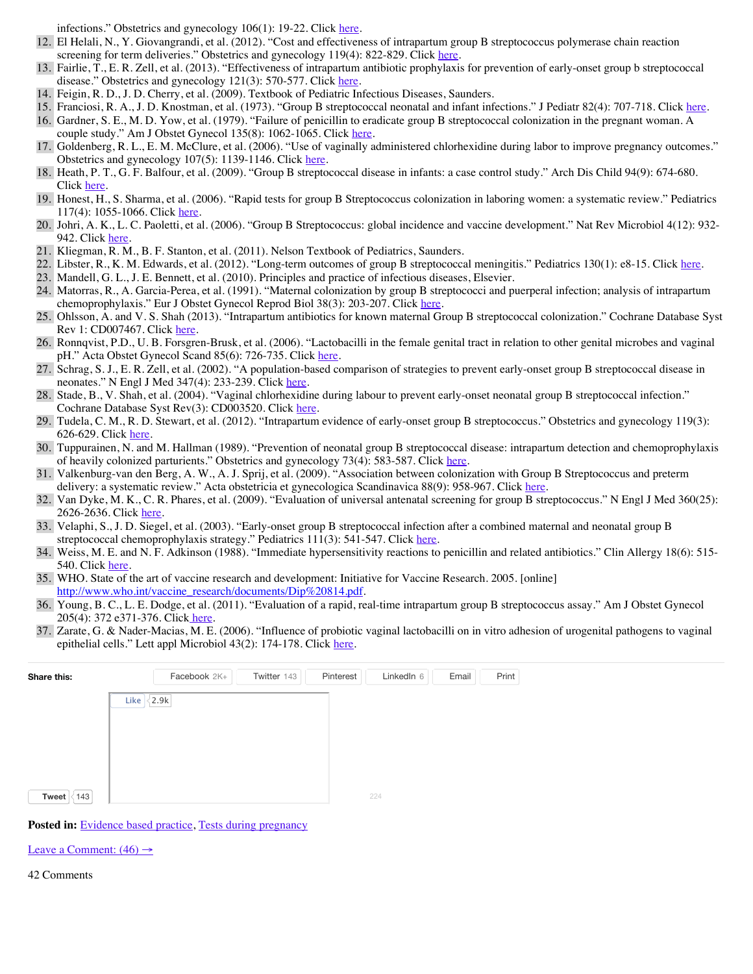infections." Obstetrics and gynecology 106(1): 19-22. Click [here](http://www.ncbi.nlm.nih.gov/pubmed/15994612).

- 12. El Helali, N., Y. Giovangrandi, et al. (2012). "Cost and effectiveness of intrapartum group B streptococcus polymerase chain reaction screening for term deliveries." Obstetrics and gynecology 119(4): 822-829. Click [here.](http://www.ncbi.nlm.nih.gov/pubmed/22433346)
- 13. Fairlie, T., E. R. Zell, et al. (2013). "Effectiveness of intrapartum antibiotic prophylaxis for prevention of early-onset group b streptococcal disease." Obstetrics and gynecology 121(3): 570-577. Click [here.](http://journals.lww.com/greenjournal/Fulltext/2013/03000/Effectiveness_of_Intrapartum_Antibiotic.12.aspx#)
- 14. Feigin, R. D., J. D. Cherry, et al. (2009). Textbook of Pediatric Infectious Diseases, Saunders.
- 15. Franciosi, R. A., J. D. Knostman, et al. (1973). "Group B streptococcal neonatal and infant infections." J Pediatr 82(4): 707-718. Click [here.](http://www.ncbi.nlm.nih.gov/pubmed/4572747)

16. Gardner, S. E., M. D. Yow, et al. (1979). "Failure of penicillin to eradicate group B streptococcal colonization in the pregnant woman. A couple study." Am J Obstet Gynecol 135(8): 1062-1065. Click [here.](http://www.ncbi.nlm.nih.gov/pubmed/391044)

- 17. Goldenberg, R. L., E. M. McClure, et al. (2006). "Use of vaginally administered chlorhexidine during labor to improve pregnancy outcomes." Obstetrics and gynecology 107(5): 1139-1146. Click [here.](http://www.ncbi.nlm.nih.gov/pubmed/16648420)
- 18. Heath, P. T., G. F. Balfour, et al. (2009). "Group B streptococcal disease in infants: a case control study." Arch Dis Child 94(9): 674-680. Click [here.](http://www.ncbi.nlm.nih.gov/pubmed/19457879)
- 19. Honest, H., S. Sharma, et al. (2006). "Rapid tests for group B Streptococcus colonization in laboring women: a systematic review." Pediatrics 117(4): 1055-1066. Click [here.](http://www.nejm.org/doi/full/10.1056/NEJMoa0806820)
- 20. Johri, A. K., L. C. Paoletti, et al. (2006). "Group B Streptococcus: global incidence and vaccine development." Nat Rev Microbiol 4(12): 932 942. Click [here.](http://www.ncbi.nlm.nih.gov/pubmed/17088932)
- 21. Kliegman, R. M., B. F. Stanton, et al. (2011). Nelson Textbook of Pediatrics, Saunders.
- 22. Libster, R., K. M. Edwards, et al. (2012). "Long-term outcomes of group B streptococcal meningitis." Pediatrics 130(1): e8-15. Click [here](http://www.ncbi.nlm.nih.gov/pubmed/22689869).
- 23. Mandell, G. L., J. E. Bennett, et al. (2010). Principles and practice of infectious diseases, Elsevier.
- 24. Matorras, R., A. Garcia-Perea, et al. (1991). "Maternal colonization by group B streptococci and puerperal infection; analysis of intrapartum chemoprophylaxis." Eur J Obstet Gynecol Reprod Biol 38(3): 203-207. Click [here.](http://www.ncbi.nlm.nih.gov/pubmed/2007445)
- 25. Ohlsson, A. and V. S. Shah (2013). "Intrapartum antibiotics for known maternal Group B streptococcal colonization." Cochrane Database Syst Rev 1: CD007467. Click [here](http://www.ncbi.nlm.nih.gov/pubmed/23440815).
- 26. Ronnqvist, P.D., U. B. Forsgren-Brusk, et al. (2006). "Lactobacilli in the female genital tract in relation to other genital microbes and vaginal pH." Acta Obstet Gynecol Scand 85(6): 726-735. Click [here.](http://www.ncbi.nlm.nih.gov/pubmed/16752267)
- 27. Schrag, S. J., E. R. Zell, et al. (2002). "A population-based comparison of strategies to prevent early-onset group B streptococcal disease in neonates." N Engl J Med 347(4): 233-239. Click [here.](http://www.nejm.org/doi/full/10.1056/NEJMoa020205#t=abstract)
- 28. Stade, B., V. Shah, et al. (2004). "Vaginal chlorhexidine during labour to prevent early-onset neonatal group B streptococcal infection." Cochrane Database Syst Rev(3): CD003520. Click [here.](http://www.ncbi.nlm.nih.gov/pubmed/15266490)
- 29. Tudela, C. M., R. D. Stewart, et al. (2012). "Intrapartum evidence of early-onset group B streptococcus." Obstetrics and gynecology 119(3): 626-629. Click [here.](http://www.ncbi.nlm.nih.gov/pubmed/?term=22353962)
- 30. Tuppurainen, N. and M. Hallman (1989). "Prevention of neonatal group B streptococcal disease: intrapartum detection and chemoprophylaxis of heavily colonized parturients." Obstetrics and gynecology 73(4): 583-587. Click [here.](http://www.ncbi.nlm.nih.gov/pubmed/2494620)
- 31. Valkenburg-van den Berg, A. W., A. J. Sprij, et al. (2009). "Association between colonization with Group B Streptococcus and preterm delivery: a systematic review." Acta obstetricia et gynecologica Scandinavica 88(9): 958-967. Click [here.](http://www.ncbi.nlm.nih.gov/pubmed/19657755)
- 32. Van Dyke, M. K., C. R. Phares, et al. (2009). "Evaluation of universal antenatal screening for group B streptococcus." N Engl J Med 360(25): 2626-2636. Click [here.](http://www.nejm.org/doi/full/10.1056/NEJMoa0806820)
- 33. Velaphi, S., J. D. Siegel, et al. (2003). "Early-onset group B streptococcal infection after a combined maternal and neonatal group B streptococcal chemoprophylaxis strategy." Pediatrics 111(3): 541-547. Click [here.](http://www.ncbi.nlm.nih.gov/pubmed/12612234)
- 34. Weiss, M. E. and N. F. Adkinson (1988). "Immediate hypersensitivity reactions to penicillin and related antibiotics." Clin Allergy 18(6): 515- 540. Click [here.](http://www.ncbi.nlm.nih.gov/pubmed/2977302)
- 35. WHO. State of the art of vaccine research and development: Initiative for Vaccine Research. 2005. [online] [http://www.who.int/vaccine\\_research/documents/Dip%20814.pdf](http://www.who.int/vaccine_research/documents/Dip%20814.pdf).
- 36. Young, B. C., L. E. Dodge, et al. (2011). "Evaluation of a rapid, real-time intrapartum group B streptococcus assay." Am J Obstet Gynecol 205(4): 372 e371-376. Clic[k here.](http://www.ncbi.nlm.nih.gov/pubmed/21864820)
- 37. Zarate, G. & Nader-Macias, M. E. (2006). "Influence of probiotic vaginal lactobacilli on in vitro adhesion of urogenital pathogens to vaginal epithelial cells." Lett appl Microbiol 43(2): 174-178. Click [here.](http://www.ncbi.nlm.nih.gov/pubmed/16869901)

| Share this:  | Facebook 2K+                   | Twitter 143<br>Pinterest | LinkedIn 6<br>Email | Print |
|--------------|--------------------------------|--------------------------|---------------------|-------|
|              | $\langle 2.9k \rangle$<br>Like |                          |                     |       |
|              |                                |                          |                     |       |
|              |                                |                          |                     |       |
|              |                                |                          |                     |       |
| 143<br>Tweet |                                | 224                      |                     |       |

Posted in: **Evidence based practice**, [Tests during pregnancy](http://evidencebasedbirth.com/category/tests-during-pregnancy/)

Leave a Comment:  $(46) \rightarrow$ 

42 Comments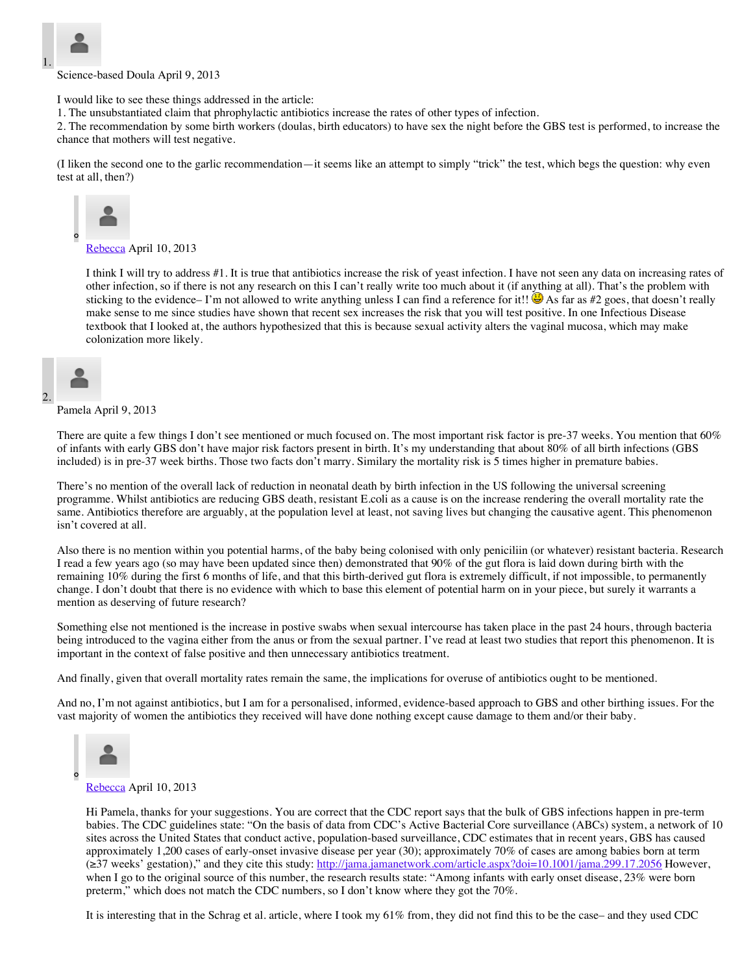

Science-based Doula April 9, 2013

I would like to see these things addressed in the article:

1. The unsubstantiated claim that phrophylactic antibiotics increase the rates of other types of infection.

2. The recommendation by some birth workers (doulas, birth educators) to have sex the night before the GBS test is performed, to increase the chance that mothers will test negative.

(I liken the second one to the garlic recommendation—it seems like an attempt to simply "trick" the test, which begs the question: why even test at all, then?)



I think I will try to address #1. It is true that antibiotics increase the risk of yeast infection. I have not seen any data on increasing rates of other infection, so if there is not any research on this I can't really write too much about it (if anything at all). That's the problem with sticking to the evidence– I'm not allowed to write anything unless I can find a reference for it!!  $\bullet$  As far as #2 goes, that doesn't really make sense to me since studies have shown that recent sex increases the risk that you will test positive. In one Infectious Disease textbook that I looked at, the authors hypothesized that this is because sexual activity alters the vaginal mucosa, which may make colonization more likely.



2.

Pamela April 9, 2013

There are quite a few things I don't see mentioned or much focused on. The most important risk factor is pre-37 weeks. You mention that 60% of infants with early GBS don't have major risk factors present in birth. It's my understanding that about 80% of all birth infections (GBS included) is in pre-37 week births. Those two facts don't marry. Similary the mortality risk is 5 times higher in premature babies.

There's no mention of the overall lack of reduction in neonatal death by birth infection in the US following the universal screening programme. Whilst antibiotics are reducing GBS death, resistant E.coli as a cause is on the increase rendering the overall mortality rate the same. Antibiotics therefore are arguably, at the population level at least, not saving lives but changing the causative agent. This phenomenon isn't covered at all.

Also there is no mention within you potential harms, of the baby being colonised with only peniciliin (or whatever) resistant bacteria. Research I read a few years ago (so may have been updated since then) demonstrated that 90% of the gut flora is laid down during birth with the remaining 10% during the first 6 months of life, and that this birth-derived gut flora is extremely difficult, if not impossible, to permanently change. I don't doubt that there is no evidence with which to base this element of potential harm on in your piece, but surely it warrants a mention as deserving of future research?

Something else not mentioned is the increase in postive swabs when sexual intercourse has taken place in the past 24 hours, through bacteria being introduced to the vagina either from the anus or from the sexual partner. I've read at least two studies that report this phenomenon. It is important in the context of false positive and then unnecessary antibiotics treatment.

And finally, given that overall mortality rates remain the same, the implications for overuse of antibiotics ought to be mentioned.

And no, I'm not against antibiotics, but I am for a personalised, informed, evidence-based approach to GBS and other birthing issues. For the vast majority of women the antibiotics they received will have done nothing except cause damage to them and/or their baby.



[Rebecca](http://www.evidencebasedbirth.com/) April 10, 2013

Hi Pamela, thanks for your suggestions. You are correct that the CDC report says that the bulk of GBS infections happen in pre-term babies. The CDC guidelines state: "On the basis of data from CDC's Active Bacterial Core surveillance (ABCs) system, a network of 10 sites across the United States that conduct active, population-based surveillance, CDC estimates that in recent years, GBS has caused approximately 1,200 cases of early-onset invasive disease per year (30); approximately 70% of cases are among babies born at term (≥37 weeks' gestation)," and they cite this study: <http://jama.jamanetwork.com/article.aspx?doi=10.1001/jama.299.17.2056> However, when I go to the original source of this number, the research results state: "Among infants with early onset disease, 23% were born preterm," which does not match the CDC numbers, so I don't know where they got the 70%.

It is interesting that in the Schrag et al. article, where I took my 61% from, they did not find this to be the case– and they used CDC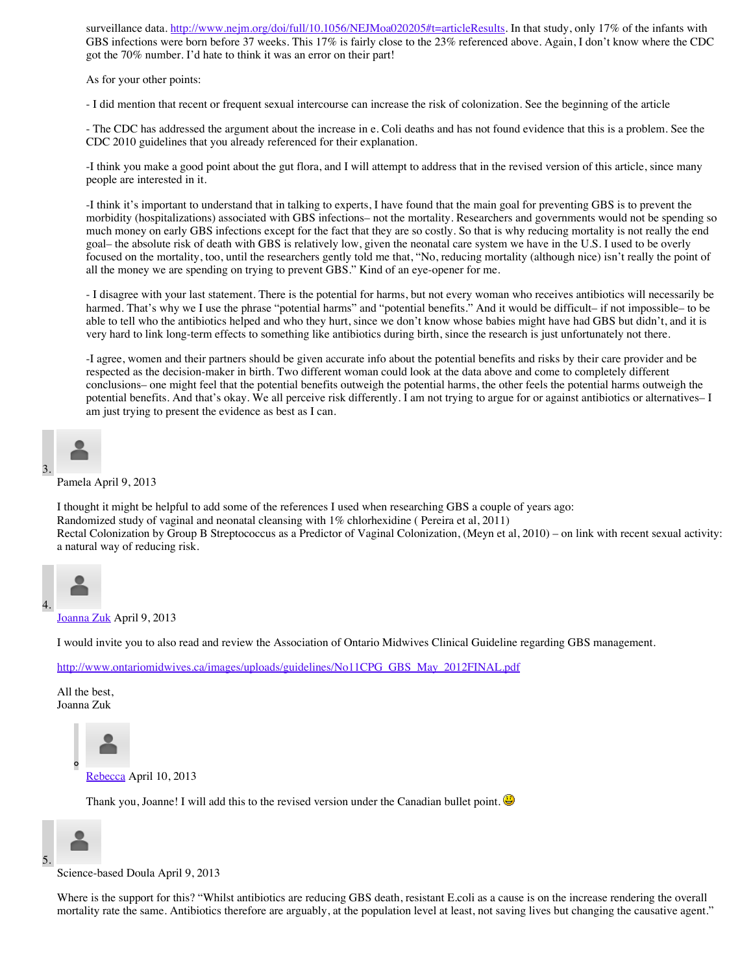surveillance data. [http://www.nejm.org/doi/full/10.1056/NEJMoa020205#t=articleResults.](http://www.nejm.org/doi/full/10.1056/NEJMoa020205#t=articleResults) In that study, only 17% of the infants with GBS infections were born before 37 weeks. This 17% is fairly close to the 23% referenced above. Again, I don't know where the CDC got the 70% number. I'd hate to think it was an error on their part!

As for your other points:

- I did mention that recent or frequent sexual intercourse can increase the risk of colonization. See the beginning of the article

- The CDC has addressed the argument about the increase in e. Coli deaths and has not found evidence that this is a problem. See the CDC 2010 guidelines that you already referenced for their explanation.

-I think you make a good point about the gut flora, and I will attempt to address that in the revised version of this article, since many people are interested in it.

-I think it's important to understand that in talking to experts, I have found that the main goal for preventing GBS is to prevent the morbidity (hospitalizations) associated with GBS infections– not the mortality. Researchers and governments would not be spending so much money on early GBS infections except for the fact that they are so costly. So that is why reducing mortality is not really the end goal– the absolute risk of death with GBS is relatively low, given the neonatal care system we have in the U.S. I used to be overly focused on the mortality, too, until the researchers gently told me that, "No, reducing mortality (although nice) isn't really the point of all the money we are spending on trying to prevent GBS." Kind of an eye-opener for me.

- I disagree with your last statement. There is the potential for harms, but not every woman who receives antibiotics will necessarily be harmed. That's why we I use the phrase "potential harms" and "potential benefits." And it would be difficult– if not impossible– to be able to tell who the antibiotics helped and who they hurt, since we don't know whose babies might have had GBS but didn't, and it is very hard to link long-term effects to something like antibiotics during birth, since the research is just unfortunately not there.

-I agree, women and their partners should be given accurate info about the potential benefits and risks by their care provider and be respected as the decision-maker in birth. Two different woman could look at the data above and come to completely different conclusions– one might feel that the potential benefits outweigh the potential harms, the other feels the potential harms outweigh the potential benefits. And that's okay. We all perceive risk differently. I am not trying to argue for or against antibiotics or alternatives– I am just trying to present the evidence as best as I can.



Pamela April 9, 2013

I thought it might be helpful to add some of the references I used when researching GBS a couple of years ago: Randomized study of vaginal and neonatal cleansing with 1% chlorhexidine ( Pereira et al, 2011) Rectal Colonization by Group B Streptococcus as a Predictor of Vaginal Colonization, (Meyn et al, 2010) – on link with recent sexual activity: a natural way of reducing risk.



[Joanna Zuk](http://www.ontariomidwives.ca/care/guidelines) April 9, 2013

I would invite you to also read and review the Association of Ontario Midwives Clinical Guideline regarding GBS management.

[http://www.ontariomidwives.ca/images/uploads/guidelines/No11CPG\\_GBS\\_May\\_2012FINAL.pdf](http://www.ontariomidwives.ca/images/uploads/guidelines/No11CPG_GBS_May_2012FINAL.pdf)

All the best, Joanna Zuk



Thank you, Joanne! I will add this to the revised version under the Canadian bullet point.



Science-based Doula April 9, 2013

Where is the support for this? "Whilst antibiotics are reducing GBS death, resistant E.coli as a cause is on the increase rendering the overall mortality rate the same. Antibiotics therefore are arguably, at the population level at least, not saving lives but changing the causative agent."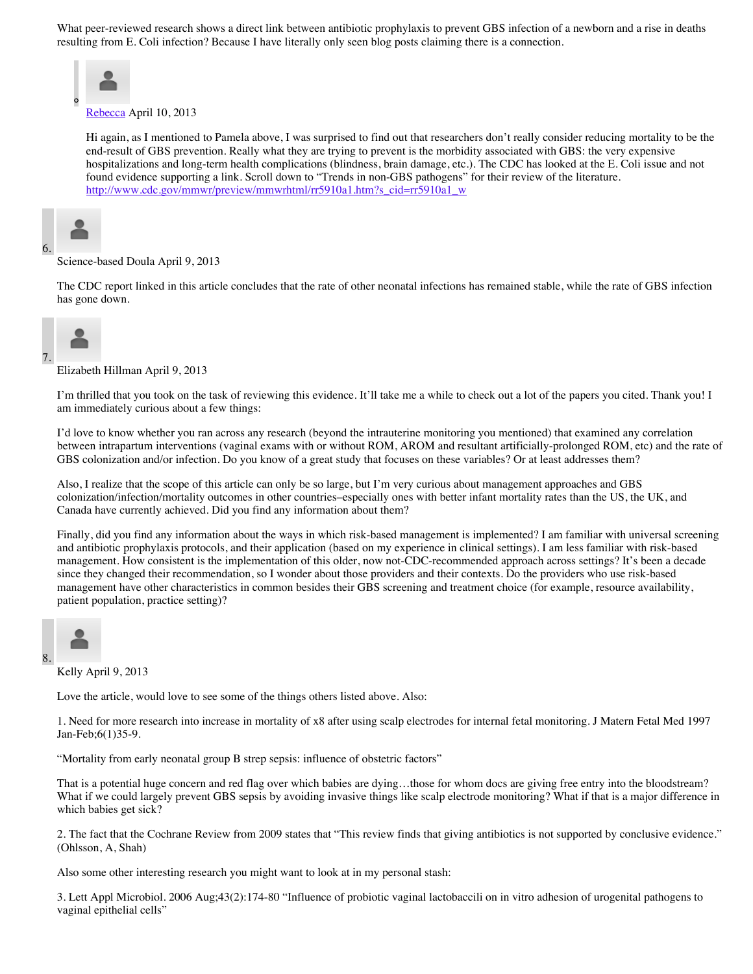What peer-reviewed research shows a direct link between antibiotic prophylaxis to prevent GBS infection of a newborn and a rise in deaths resulting from E. Coli infection? Because I have literally only seen blog posts claiming there is a connection.



Hi again, as I mentioned to Pamela above, I was surprised to find out that researchers don't really consider reducing mortality to be the end-result of GBS prevention. Really what they are trying to prevent is the morbidity associated with GBS: the very expensive hospitalizations and long-term health complications (blindness, brain damage, etc.). The CDC has looked at the E. Coli issue and not found evidence supporting a link. Scroll down to "Trends in non-GBS pathogens" for their review of the literature. [http://www.cdc.gov/mmwr/preview/mmwrhtml/rr5910a1.htm?s\\_cid=rr5910a1\\_w](http://www.cdc.gov/mmwr/preview/mmwrhtml/rr5910a1.htm?s_cid=rr5910a1_w)



#### Science-based Doula April 9, 2013

The CDC report linked in this article concludes that the rate of other neonatal infections has remained stable, while the rate of GBS infection has gone down.



Elizabeth Hillman April 9, 2013

I'm thrilled that you took on the task of reviewing this evidence. It'll take me a while to check out a lot of the papers you cited. Thank you! I am immediately curious about a few things:

I'd love to know whether you ran across any research (beyond the intrauterine monitoring you mentioned) that examined any correlation between intrapartum interventions (vaginal exams with or without ROM, AROM and resultant artificially-prolonged ROM, etc) and the rate of GBS colonization and/or infection. Do you know of a great study that focuses on these variables? Or at least addresses them?

Also, I realize that the scope of this article can only be so large, but I'm very curious about management approaches and GBS colonization/infection/mortality outcomes in other countries–especially ones with better infant mortality rates than the US, the UK, and Canada have currently achieved. Did you find any information about them?

Finally, did you find any information about the ways in which risk-based management is implemented? I am familiar with universal screening and antibiotic prophylaxis protocols, and their application (based on my experience in clinical settings). I am less familiar with risk-based management. How consistent is the implementation of this older, now not-CDC-recommended approach across settings? It's been a decade since they changed their recommendation, so I wonder about those providers and their contexts. Do the providers who use risk-based management have other characteristics in common besides their GBS screening and treatment choice (for example, resource availability, patient population, practice setting)?



Kelly April 9, 2013

Love the article, would love to see some of the things others listed above. Also:

1. Need for more research into increase in mortality of x8 after using scalp electrodes for internal fetal monitoring. J Matern Fetal Med 1997 Jan-Feb;6(1)35-9.

"Mortality from early neonatal group B strep sepsis: influence of obstetric factors"

That is a potential huge concern and red flag over which babies are dying…those for whom docs are giving free entry into the bloodstream? What if we could largely prevent GBS sepsis by avoiding invasive things like scalp electrode monitoring? What if that is a major difference in which babies get sick?

2. The fact that the Cochrane Review from 2009 states that "This review finds that giving antibiotics is not supported by conclusive evidence." (Ohlsson, A, Shah)

Also some other interesting research you might want to look at in my personal stash:

3. Lett Appl Microbiol. 2006 Aug;43(2):174-80 "Influence of probiotic vaginal lactobaccili on in vitro adhesion of urogenital pathogens to vaginal epithelial cells"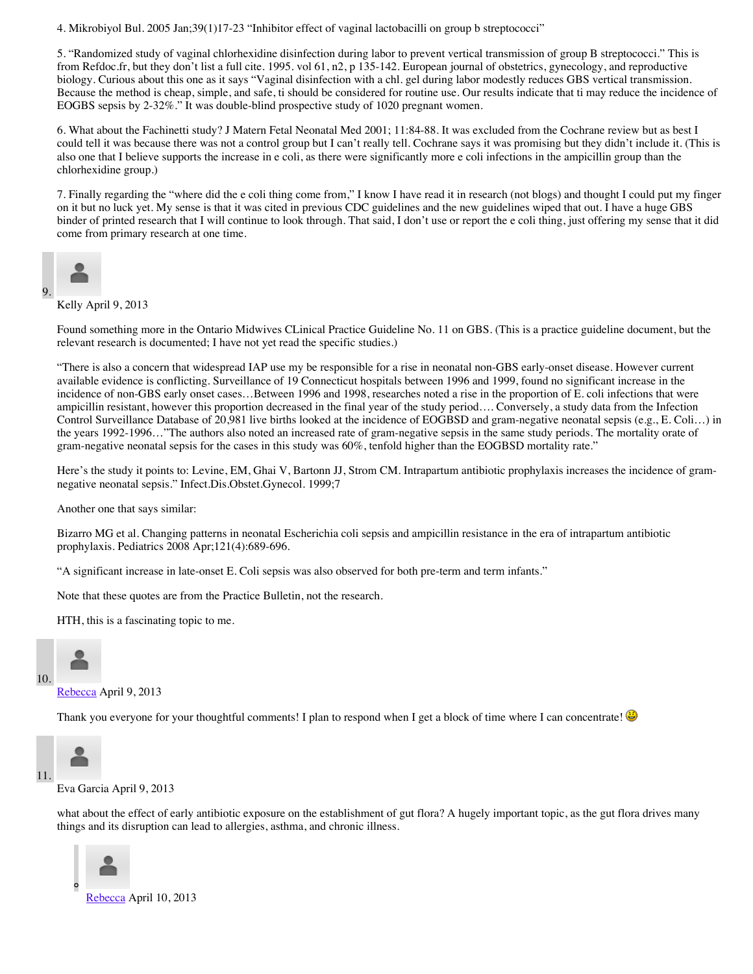4. Mikrobiyol Bul. 2005 Jan;39(1)17-23 "Inhibitor effect of vaginal lactobacilli on group b streptococci"

5. "Randomized study of vaginal chlorhexidine disinfection during labor to prevent vertical transmission of group B streptococci." This is from Refdoc.fr, but they don't list a full cite. 1995. vol 61, n2, p 135-142. European journal of obstetrics, gynecology, and reproductive biology. Curious about this one as it says "Vaginal disinfection with a chl. gel during labor modestly reduces GBS vertical transmission. Because the method is cheap, simple, and safe, ti should be considered for routine use. Our results indicate that ti may reduce the incidence of EOGBS sepsis by 2-32%." It was double-blind prospective study of 1020 pregnant women.

6. What about the Fachinetti study? J Matern Fetal Neonatal Med 2001; 11:84-88. It was excluded from the Cochrane review but as best I could tell it was because there was not a control group but I can't really tell. Cochrane says it was promising but they didn't include it. (This is also one that I believe supports the increase in e coli, as there were significantly more e coli infections in the ampicillin group than the chlorhexidine group.)

7. Finally regarding the "where did the e coli thing come from," I know I have read it in research (not blogs) and thought I could put my finger on it but no luck yet. My sense is that it was cited in previous CDC guidelines and the new guidelines wiped that out. I have a huge GBS binder of printed research that I will continue to look through. That said, I don't use or report the e coli thing, just offering my sense that it did come from primary research at one time.



9.

Kelly April 9, 2013

Found something more in the Ontario Midwives CLinical Practice Guideline No. 11 on GBS. (This is a practice guideline document, but the relevant research is documented; I have not yet read the specific studies.)

"There is also a concern that widespread IAP use my be responsible for a rise in neonatal non-GBS early-onset disease. However current available evidence is conflicting. Surveillance of 19 Connecticut hospitals between 1996 and 1999, found no significant increase in the incidence of non-GBS early onset cases…Between 1996 and 1998, researches noted a rise in the proportion of E. coli infections that were ampicillin resistant, however this proportion decreased in the final year of the study period…. Conversely, a study data from the Infection Control Surveillance Database of 20,981 live births looked at the incidence of EOGBSD and gram-negative neonatal sepsis (e.g., E. Coli…) in the years 1992-1996…"The authors also noted an increased rate of gram-negative sepsis in the same study periods. The mortality orate of gram-negative neonatal sepsis for the cases in this study was 60%, tenfold higher than the EOGBSD mortality rate."

Here's the study it points to: Levine, EM, Ghai V, Bartonn JJ, Strom CM. Intrapartum antibiotic prophylaxis increases the incidence of gramnegative neonatal sepsis." Infect.Dis.Obstet.Gynecol. 1999;7

Another one that says similar:

Bizarro MG et al. Changing patterns in neonatal Escherichia coli sepsis and ampicillin resistance in the era of intrapartum antibiotic prophylaxis. Pediatrics 2008 Apr;121(4):689-696.

"A significant increase in late-onset E. Coli sepsis was also observed for both pre-term and term infants."

Note that these quotes are from the Practice Bulletin, not the research.

HTH, this is a fascinating topic to me.



[Rebecca](http://www.evidencebasedbirth.com/) April 9, 2013

Thank you everyone for your thoughtful comments! I plan to respond when I get a block of time where I can concentrate!



Eva Garcia April 9, 2013

what about the effect of early antibiotic exposure on the establishment of gut flora? A hugely important topic, as the gut flora drives many things and its disruption can lead to allergies, asthma, and chronic illness.

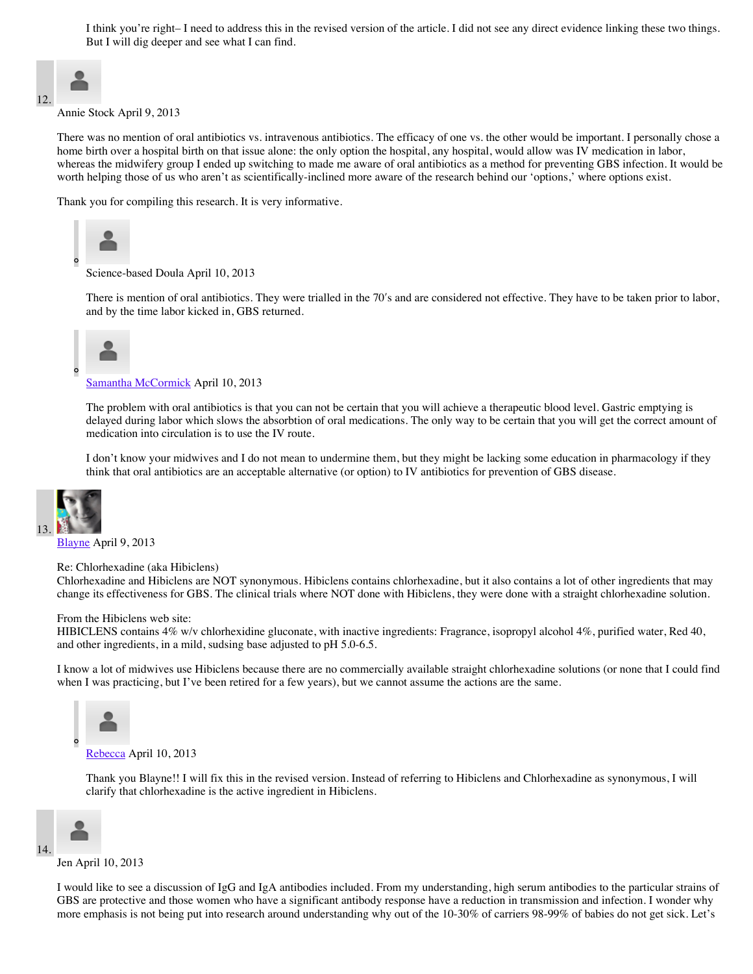I think you're right– I need to address this in the revised version of the article. I did not see any direct evidence linking these two things. But I will dig deeper and see what I can find.



Annie Stock April 9, 2013

There was no mention of oral antibiotics vs. intravenous antibiotics. The efficacy of one vs. the other would be important. I personally chose a home birth over a hospital birth on that issue alone: the only option the hospital, any hospital, would allow was IV medication in labor, whereas the midwifery group I ended up switching to made me aware of oral antibiotics as a method for preventing GBS infection. It would be worth helping those of us who aren't as scientifically-inclined more aware of the research behind our 'options,' where options exist.

Thank you for compiling this research. It is very informative.



Science-based Doula April 10, 2013

There is mention of oral antibiotics. They were trialled in the 70"s and are considered not effective. They have to be taken prior to labor, and by the time labor kicked in, GBS returned.



[Samantha McCormick](http://www.waterbirthbaby.com/) April 10, 2013

The problem with oral antibiotics is that you can not be certain that you will achieve a therapeutic blood level. Gastric emptying is delayed during labor which slows the absorbtion of oral medications. The only way to be certain that you will get the correct amount of medication into circulation is to use the IV route.

I don't know your midwives and I do not mean to undermine them, but they might be lacking some education in pharmacology if they think that oral antibiotics are an acceptable alternative (or option) to IV antibiotics for prevention of GBS disease.



[Blayne](http://neomidwife.com/) April 9, 2013

Re: Chlorhexadine (aka Hibiclens)

Chlorhexadine and Hibiclens are NOT synonymous. Hibiclens contains chlorhexadine, but it also contains a lot of other ingredients that may change its effectiveness for GBS. The clinical trials where NOT done with Hibiclens, they were done with a straight chlorhexadine solution.

#### From the Hibiclens web site:

HIBICLENS contains 4% w/v chlorhexidine gluconate, with inactive ingredients: Fragrance, isopropyl alcohol 4%, purified water, Red 40, and other ingredients, in a mild, sudsing base adjusted to pH 5.0-6.5.

I know a lot of midwives use Hibiclens because there are no commercially available straight chlorhexadine solutions (or none that I could find when I was practicing, but I've been retired for a few years), but we cannot assume the actions are the same.



Thank you Blayne!! I will fix this in the revised version. Instead of referring to Hibiclens and Chlorhexadine as synonymous, I will clarify that chlorhexadine is the active ingredient in Hibiclens.



Jen April 10, 2013

I would like to see a discussion of IgG and IgA antibodies included. From my understanding, high serum antibodies to the particular strains of GBS are protective and those women who have a significant antibody response have a reduction in transmission and infection. I wonder why more emphasis is not being put into research around understanding why out of the 10-30% of carriers 98-99% of babies do not get sick. Let's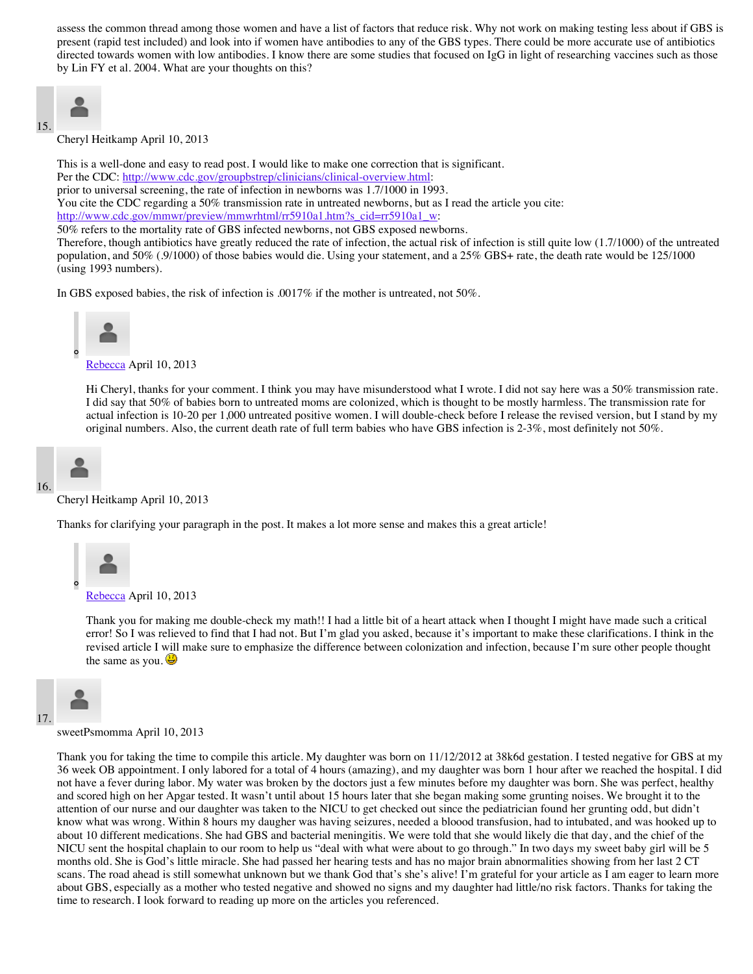assess the common thread among those women and have a list of factors that reduce risk. Why not work on making testing less about if GBS is present (rapid test included) and look into if women have antibodies to any of the GBS types. There could be more accurate use of antibiotics directed towards women with low antibodies. I know there are some studies that focused on IgG in light of researching vaccines such as those by Lin FY et al. 2004. What are your thoughts on this?

$$
\begin{array}{c}\n15\n\end{array}
$$

Cheryl Heitkamp April 10, 2013

This is a well-done and easy to read post. I would like to make one correction that is significant. Per the CDC: <http://www.cdc.gov/groupbstrep/clinicians/clinical-overview.html>: prior to universal screening, the rate of infection in newborns was 1.7/1000 in 1993. You cite the CDC regarding a 50% transmission rate in untreated newborns, but as I read the article you cite: [http://www.cdc.gov/mmwr/preview/mmwrhtml/rr5910a1.htm?s\\_cid=rr5910a1\\_w:](http://www.cdc.gov/mmwr/preview/mmwrhtml/rr5910a1.htm?s_cid=rr5910a1_w) 50% refers to the mortality rate of GBS infected newborns, not GBS exposed newborns.

Therefore, though antibiotics have greatly reduced the rate of infection, the actual risk of infection is still quite low (1.7/1000) of the untreated population, and 50% (.9/1000) of those babies would die. Using your statement, and a 25% GBS+ rate, the death rate would be 125/1000 (using 1993 numbers).

In GBS exposed babies, the risk of infection is .0017% if the mother is untreated, not 50%.



[Rebecca](http://www.evidencebasedbirth.com/) April 10, 2013

Hi Cheryl, thanks for your comment. I think you may have misunderstood what I wrote. I did not say here was a 50% transmission rate. I did say that 50% of babies born to untreated moms are colonized, which is thought to be mostly harmless. The transmission rate for actual infection is 10-20 per 1,000 untreated positive women. I will double-check before I release the revised version, but I stand by my original numbers. Also, the current death rate of full term babies who have GBS infection is 2-3%, most definitely not 50%.



#### Cheryl Heitkamp April 10, 2013

Thanks for clarifying your paragraph in the post. It makes a lot more sense and makes this a great article!



Thank you for making me double-check my math!! I had a little bit of a heart attack when I thought I might have made such a critical error! So I was relieved to find that I had not. But I'm glad you asked, because it's important to make these clarifications. I think in the revised article I will make sure to emphasize the difference between colonization and infection, because I'm sure other people thought the same as you.  $\dddot{\bullet}$ 



sweetPsmomma April 10, 2013

Thank you for taking the time to compile this article. My daughter was born on 11/12/2012 at 38k6d gestation. I tested negative for GBS at my 36 week OB appointment. I only labored for a total of 4 hours (amazing), and my daughter was born 1 hour after we reached the hospital. I did not have a fever during labor. My water was broken by the doctors just a few minutes before my daughter was born. She was perfect, healthy and scored high on her Apgar tested. It wasn't until about 15 hours later that she began making some grunting noises. We brought it to the attention of our nurse and our daughter was taken to the NICU to get checked out since the pediatrician found her grunting odd, but didn't know what was wrong. Within 8 hours my daugher was having seizures, needed a bloood transfusion, had to intubated, and was hooked up to about 10 different medications. She had GBS and bacterial meningitis. We were told that she would likely die that day, and the chief of the NICU sent the hospital chaplain to our room to help us "deal with what were about to go through." In two days my sweet baby girl will be 5 months old. She is God's little miracle. She had passed her hearing tests and has no major brain abnormalities showing from her last 2 CT scans. The road ahead is still somewhat unknown but we thank God that's she's alive! I'm grateful for your article as I am eager to learn more about GBS, especially as a mother who tested negative and showed no signs and my daughter had little/no risk factors. Thanks for taking the time to research. I look forward to reading up more on the articles you referenced.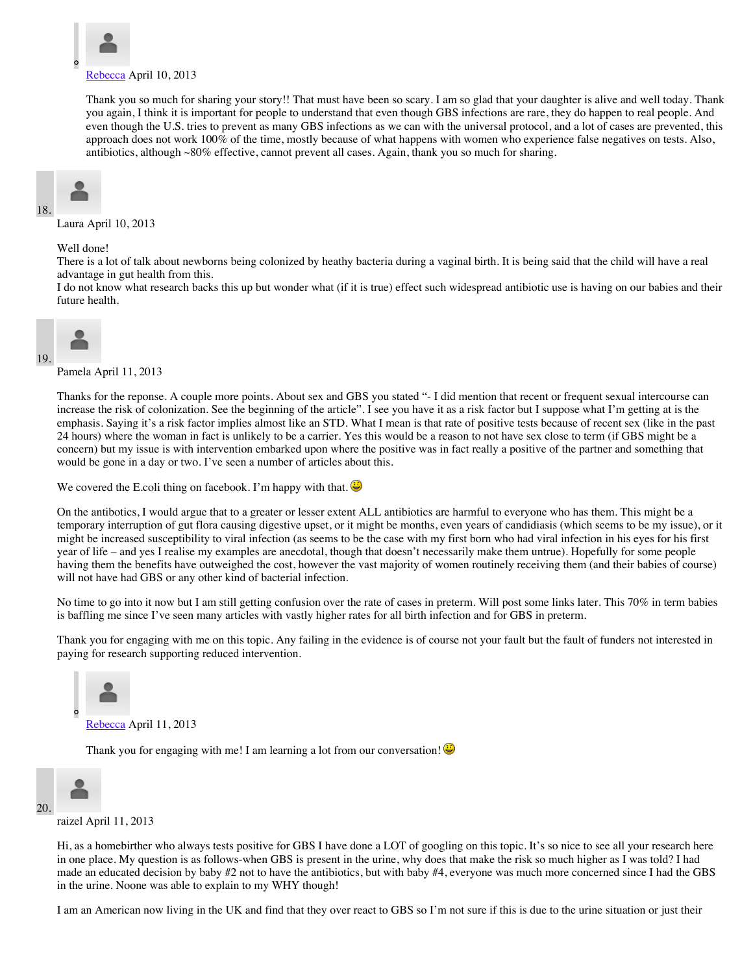

Thank you so much for sharing your story!! That must have been so scary. I am so glad that your daughter is alive and well today. Thank you again, I think it is important for people to understand that even though GBS infections are rare, they do happen to real people. And even though the U.S. tries to prevent as many GBS infections as we can with the universal protocol, and a lot of cases are prevented, this approach does not work 100% of the time, mostly because of what happens with women who experience false negatives on tests. Also, antibiotics, although ~80% effective, cannot prevent all cases. Again, thank you so much for sharing.



Laura April 10, 2013

Well done!

There is a lot of talk about newborns being colonized by heathy bacteria during a vaginal birth. It is being said that the child will have a real advantage in gut health from this.

I do not know what research backs this up but wonder what (if it is true) effect such widespread antibiotic use is having on our babies and their future health.



19.

Pamela April 11, 2013

Thanks for the reponse. A couple more points. About sex and GBS you stated "- I did mention that recent or frequent sexual intercourse can increase the risk of colonization. See the beginning of the article". I see you have it as a risk factor but I suppose what I'm getting at is the emphasis. Saying it's a risk factor implies almost like an STD. What I mean is that rate of positive tests because of recent sex (like in the past 24 hours) where the woman in fact is unlikely to be a carrier. Yes this would be a reason to not have sex close to term (if GBS might be a concern) but my issue is with intervention embarked upon where the positive was in fact really a positive of the partner and something that would be gone in a day or two. I've seen a number of articles about this.

We covered the E.coli thing on facebook. I'm happy with that.

On the antibotics, I would argue that to a greater or lesser extent ALL antibiotics are harmful to everyone who has them. This might be a temporary interruption of gut flora causing digestive upset, or it might be months, even years of candidiasis (which seems to be my issue), or it might be increased susceptibility to viral infection (as seems to be the case with my first born who had viral infection in his eyes for his first year of life – and yes I realise my examples are anecdotal, though that doesn't necessarily make them untrue). Hopefully for some people having them the benefits have outweighed the cost, however the vast majority of women routinely receiving them (and their babies of course) will not have had GBS or any other kind of bacterial infection.

No time to go into it now but I am still getting confusion over the rate of cases in preterm. Will post some links later. This 70% in term babies is baffling me since I've seen many articles with vastly higher rates for all birth infection and for GBS in preterm.

Thank you for engaging with me on this topic. Any failing in the evidence is of course not your fault but the fault of funders not interested in paying for research supporting reduced intervention.



Thank you for engaging with me! I am learning a lot from our conversation!



raizel April 11, 2013

Hi, as a homebirther who always tests positive for GBS I have done a LOT of googling on this topic. It's so nice to see all your research here in one place. My question is as follows-when GBS is present in the urine, why does that make the risk so much higher as I was told? I had made an educated decision by baby #2 not to have the antibiotics, but with baby #4, everyone was much more concerned since I had the GBS in the urine. Noone was able to explain to my WHY though!

I am an American now living in the UK and find that they over react to GBS so I'm not sure if this is due to the urine situation or just their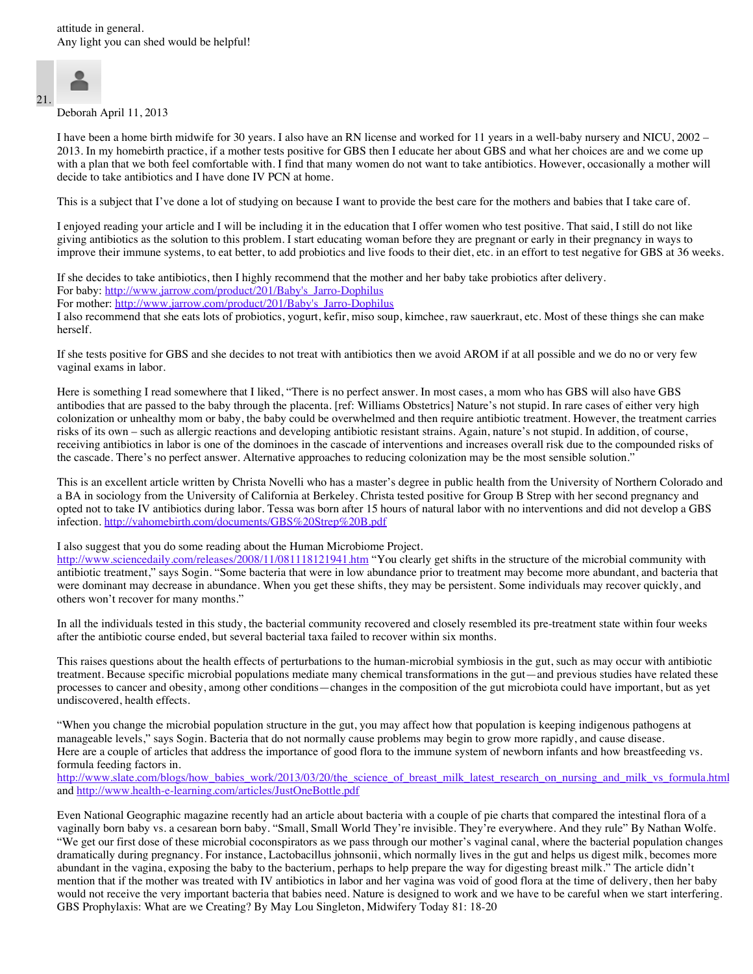

Deborah April 11, 2013

I have been a home birth midwife for 30 years. I also have an RN license and worked for 11 years in a well-baby nursery and NICU, 2002 – 2013. In my homebirth practice, if a mother tests positive for GBS then I educate her about GBS and what her choices are and we come up with a plan that we both feel comfortable with. I find that many women do not want to take antibiotics. However, occasionally a mother will decide to take antibiotics and I have done IV PCN at home.

This is a subject that I've done a lot of studying on because I want to provide the best care for the mothers and babies that I take care of.

I enjoyed reading your article and I will be including it in the education that I offer women who test positive. That said, I still do not like giving antibiotics as the solution to this problem. I start educating woman before they are pregnant or early in their pregnancy in ways to improve their immune systems, to eat better, to add probiotics and live foods to their diet, etc. in an effort to test negative for GBS at 36 weeks.

If she decides to take antibiotics, then I highly recommend that the mother and her baby take probiotics after delivery. For baby: [http://www.jarrow.com/product/201/Baby's\\_Jarro-Dophilus](http://www.jarrow.com/product/201/Baby)

For mother: [http://www.jarrow.com/product/201/Baby's\\_Jarro-Dophilus](http://www.jarrow.com/product/201/Baby)

I also recommend that she eats lots of probiotics, yogurt, kefir, miso soup, kimchee, raw sauerkraut, etc. Most of these things she can make herself.

If she tests positive for GBS and she decides to not treat with antibiotics then we avoid AROM if at all possible and we do no or very few vaginal exams in labor.

Here is something I read somewhere that I liked, "There is no perfect answer. In most cases, a mom who has GBS will also have GBS antibodies that are passed to the baby through the placenta. [ref: Williams Obstetrics] Nature's not stupid. In rare cases of either very high colonization or unhealthy mom or baby, the baby could be overwhelmed and then require antibiotic treatment. However, the treatment carries risks of its own – such as allergic reactions and developing antibiotic resistant strains. Again, nature's not stupid. In addition, of course, receiving antibiotics in labor is one of the dominoes in the cascade of interventions and increases overall risk due to the compounded risks of the cascade. There's no perfect answer. Alternative approaches to reducing colonization may be the most sensible solution."

This is an excellent article written by Christa Novelli who has a master's degree in public health from the University of Northern Colorado and a BA in sociology from the University of California at Berkeley. Christa tested positive for Group B Strep with her second pregnancy and opted not to take IV antibiotics during labor. Tessa was born after 15 hours of natural labor with no interventions and did not develop a GBS infection.<http://vahomebirth.com/documents/GBS%20Strep%20B.pdf>

#### I also suggest that you do some reading about the Human Microbiome Project.

<http://www.sciencedaily.com/releases/2008/11/081118121941.htm>"You clearly get shifts in the structure of the microbial community with antibiotic treatment," says Sogin. "Some bacteria that were in low abundance prior to treatment may become more abundant, and bacteria that were dominant may decrease in abundance. When you get these shifts, they may be persistent. Some individuals may recover quickly, and others won't recover for many months."

In all the individuals tested in this study, the bacterial community recovered and closely resembled its pre-treatment state within four weeks after the antibiotic course ended, but several bacterial taxa failed to recover within six months.

This raises questions about the health effects of perturbations to the human-microbial symbiosis in the gut, such as may occur with antibiotic treatment. Because specific microbial populations mediate many chemical transformations in the gut—and previous studies have related these processes to cancer and obesity, among other conditions—changes in the composition of the gut microbiota could have important, but as yet undiscovered, health effects.

"When you change the microbial population structure in the gut, you may affect how that population is keeping indigenous pathogens at manageable levels," says Sogin. Bacteria that do not normally cause problems may begin to grow more rapidly, and cause disease. Here are a couple of articles that address the importance of good flora to the immune system of newborn infants and how breastfeeding vs. formula feeding factors in.

[http://www.slate.com/blogs/how\\_babies\\_work/2013/03/20/the\\_science\\_of\\_breast\\_milk\\_latest\\_research\\_on\\_nursing\\_and\\_milk\\_vs\\_formula.html](http://www.slate.com/blogs/how_babies_work/2013/03/20/the_science_of_breast_milk_latest_research_on_nursing_and_milk_vs_formula.html) and<http://www.health-e-learning.com/articles/JustOneBottle.pdf>

Even National Geographic magazine recently had an article about bacteria with a couple of pie charts that compared the intestinal flora of a vaginally born baby vs. a cesarean born baby. "Small, Small World They're invisible. They're everywhere. And they rule" By Nathan Wolfe. "We get our first dose of these microbial coconspirators as we pass through our mother's vaginal canal, where the bacterial population changes dramatically during pregnancy. For instance, Lactobacillus johnsonii, which normally lives in the gut and helps us digest milk, becomes more abundant in the vagina, exposing the baby to the bacterium, perhaps to help prepare the way for digesting breast milk." The article didn't mention that if the mother was treated with IV antibiotics in labor and her vagina was void of good flora at the time of delivery, then her baby would not receive the very important bacteria that babies need. Nature is designed to work and we have to be careful when we start interfering. GBS Prophylaxis: What are we Creating? By May Lou Singleton, Midwifery Today 81: 18-20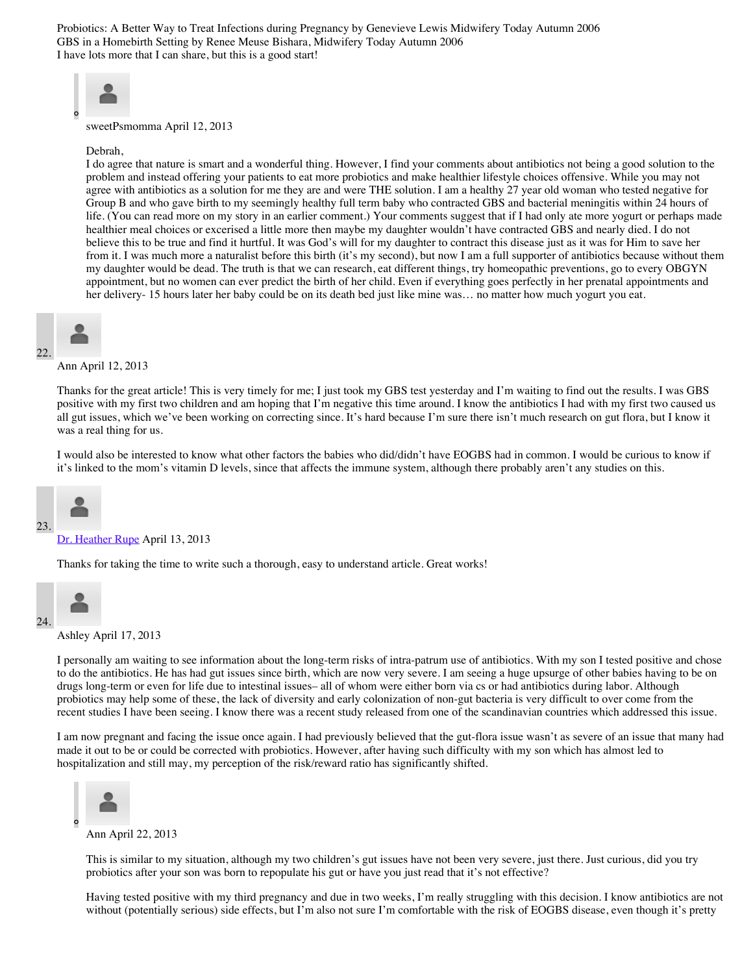Probiotics: A Better Way to Treat Infections during Pregnancy by Genevieve Lewis Midwifery Today Autumn 2006 GBS in a Homebirth Setting by Renee Meuse Bishara, Midwifery Today Autumn 2006 I have lots more that I can share, but this is a good start!



sweetPsmomma April 12, 2013

#### Debrah,

I do agree that nature is smart and a wonderful thing. However, I find your comments about antibiotics not being a good solution to the problem and instead offering your patients to eat more probiotics and make healthier lifestyle choices offensive. While you may not agree with antibiotics as a solution for me they are and were THE solution. I am a healthy 27 year old woman who tested negative for Group B and who gave birth to my seemingly healthy full term baby who contracted GBS and bacterial meningitis within 24 hours of life. (You can read more on my story in an earlier comment.) Your comments suggest that if I had only ate more yogurt or perhaps made healthier meal choices or excerised a little more then maybe my daughter wouldn't have contracted GBS and nearly died. I do not believe this to be true and find it hurtful. It was God's will for my daughter to contract this disease just as it was for Him to save her from it. I was much more a naturalist before this birth (it's my second), but now I am a full supporter of antibiotics because without them my daughter would be dead. The truth is that we can research, eat different things, try homeopathic preventions, go to every OBGYN appointment, but no women can ever predict the birth of her child. Even if everything goes perfectly in her prenatal appointments and her delivery- 15 hours later her baby could be on its death bed just like mine was... no matter how much yogurt you eat.



22.

Ann April 12, 2013

Thanks for the great article! This is very timely for me; I just took my GBS test yesterday and I'm waiting to find out the results. I was GBS positive with my first two children and am hoping that I'm negative this time around. I know the antibiotics I had with my first two caused us all gut issues, which we've been working on correcting since. It's hard because I'm sure there isn't much research on gut flora, but I know it was a real thing for us.

I would also be interested to know what other factors the babies who did/didn't have EOGBS had in common. I would be curious to know if it's linked to the mom's vitamin D levels, since that affects the immune system, although there probably aren't any studies on this.



#### [Dr. Heather Rupe](http://thepregnancycompanion.com/) April 13, 2013

Thanks for taking the time to write such a thorough, easy to understand article. Great works!



Ashley April 17, 2013

I personally am waiting to see information about the long-term risks of intra-patrum use of antibiotics. With my son I tested positive and chose to do the antibiotics. He has had gut issues since birth, which are now very severe. I am seeing a huge upsurge of other babies having to be on drugs long-term or even for life due to intestinal issues– all of whom were either born via cs or had antibiotics during labor. Although probiotics may help some of these, the lack of diversity and early colonization of non-gut bacteria is very difficult to over come from the recent studies I have been seeing. I know there was a recent study released from one of the scandinavian countries which addressed this issue.

I am now pregnant and facing the issue once again. I had previously believed that the gut-flora issue wasn't as severe of an issue that many had made it out to be or could be corrected with probiotics. However, after having such difficulty with my son which has almost led to hospitalization and still may, my perception of the risk/reward ratio has significantly shifted.



Ann April 22, 2013

This is similar to my situation, although my two children's gut issues have not been very severe, just there. Just curious, did you try probiotics after your son was born to repopulate his gut or have you just read that it's not effective?

Having tested positive with my third pregnancy and due in two weeks, I'm really struggling with this decision. I know antibiotics are not without (potentially serious) side effects, but I'm also not sure I'm comfortable with the risk of EOGBS disease, even though it's pretty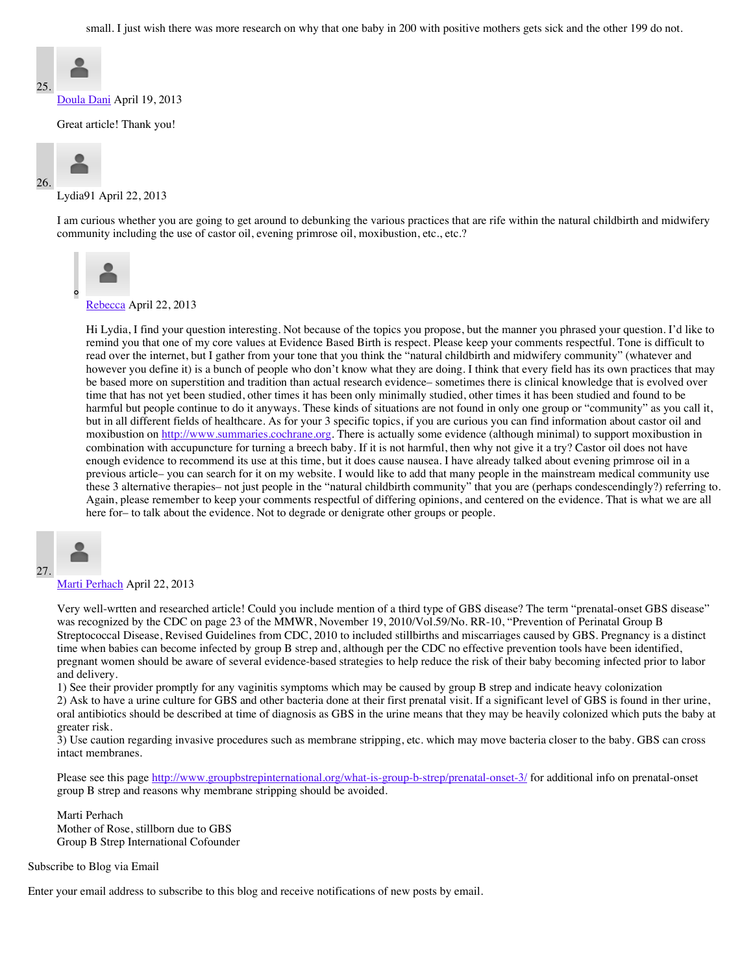small. I just wish there was more research on why that one baby in 200 with positive mothers gets sick and the other 199 do not.



[Doula Dani](http://whatifsandfears.blogspot.com/) April 19, 2013

Great article! Thank you!



Lydia91 April 22, 2013

I am curious whether you are going to get around to debunking the various practices that are rife within the natural childbirth and midwifery community including the use of castor oil, evening primrose oil, moxibustion, etc., etc.?



[Rebecca](http://www.evidencebasedbirth.com/) April 22, 2013

Hi Lydia, I find your question interesting. Not because of the topics you propose, but the manner you phrased your question. I'd like to remind you that one of my core values at Evidence Based Birth is respect. Please keep your comments respectful. Tone is difficult to read over the internet, but I gather from your tone that you think the "natural childbirth and midwifery community" (whatever and however you define it) is a bunch of people who don't know what they are doing. I think that every field has its own practices that may be based more on superstition and tradition than actual research evidence– sometimes there is clinical knowledge that is evolved over time that has not yet been studied, other times it has been only minimally studied, other times it has been studied and found to be harmful but people continue to do it anyways. These kinds of situations are not found in only one group or "community" as you call it, but in all different fields of healthcare. As for your 3 specific topics, if you are curious you can find information about castor oil and moxibustion on [http://www.summaries.cochrane.org.](http://www.summaries.cochrane.org/) There is actually some evidence (although minimal) to support moxibustion in combination with accupuncture for turning a breech baby. If it is not harmful, then why not give it a try? Castor oil does not have enough evidence to recommend its use at this time, but it does cause nausea. I have already talked about evening primrose oil in a previous article– you can search for it on my website. I would like to add that many people in the mainstream medical community use these 3 alternative therapies– not just people in the "natural childbirth community" that you are (perhaps condescendingly?) referring to. Again, please remember to keep your comments respectful of differing opinions, and centered on the evidence. That is what we are all here for– to talk about the evidence. Not to degrade or denigrate other groups or people.



[Marti Perhach](http://www.groupbstrepinternational.org/) April 22, 2013

Very well-wrtten and researched article! Could you include mention of a third type of GBS disease? The term "prenatal-onset GBS disease" was recognized by the CDC on page 23 of the MMWR, November 19, 2010/Vol.59/No. RR-10, "Prevention of Perinatal Group B Streptococcal Disease, Revised Guidelines from CDC, 2010 to included stillbirths and miscarriages caused by GBS. Pregnancy is a distinct time when babies can become infected by group B strep and, although per the CDC no effective prevention tools have been identified, pregnant women should be aware of several evidence-based strategies to help reduce the risk of their baby becoming infected prior to labor and delivery.

1) See their provider promptly for any vaginitis symptoms which may be caused by group B strep and indicate heavy colonization

2) Ask to have a urine culture for GBS and other bacteria done at their first prenatal visit. If a significant level of GBS is found in ther urine, oral antibiotics should be described at time of diagnosis as GBS in the urine means that they may be heavily colonized which puts the baby at greater risk.

3) Use caution regarding invasive procedures such as membrane stripping, etc. which may move bacteria closer to the baby. GBS can cross intact membranes.

Please see this page<http://www.groupbstrepinternational.org/what-is-group-b-strep/prenatal-onset-3/>for additional info on prenatal-onset group B strep and reasons why membrane stripping should be avoided.

Marti Perhach Mother of Rose, stillborn due to GBS Group B Strep International Cofounder

Subscribe to Blog via Email

Enter your email address to subscribe to this blog and receive notifications of new posts by email.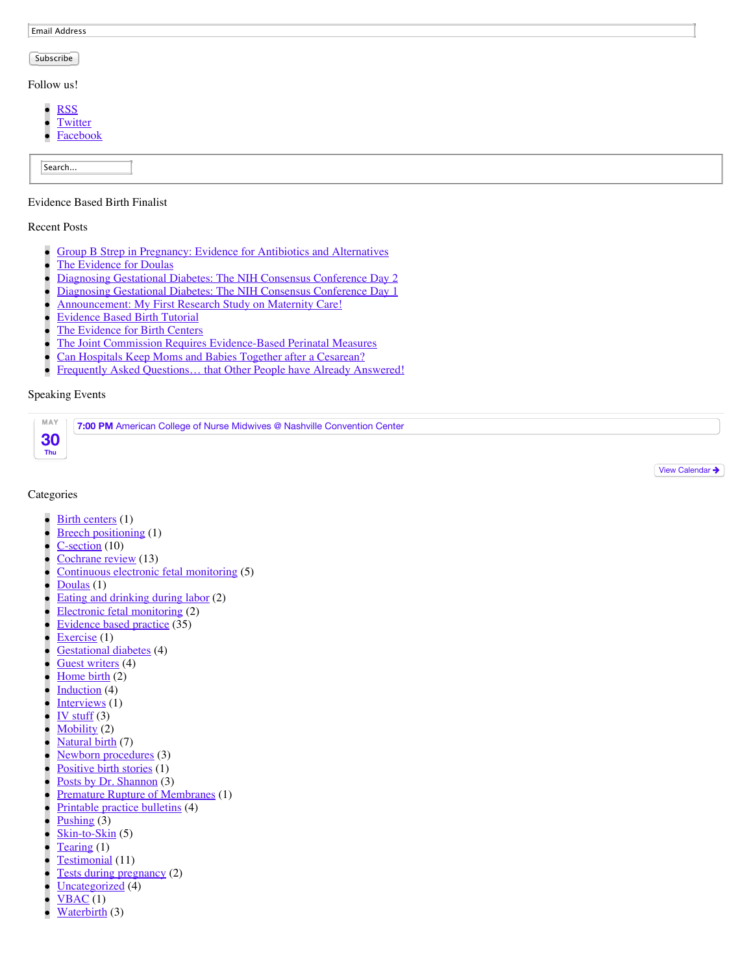Email Address

#### Subscribe

Follow us!

- [RSS](http://evidencebasedbirth.com/feed/)  $\bullet$
- **[Twitter](https://twitter.com/BirthEvidence)**
- $\bullet$ [Facebook](http://www.facebook.com/EvidenceBasedBirth?ref=hl)

Search...

#### Evidence Based Birth Finalist

#### Recent Posts

- [Group B Strep in Pregnancy: Evidence for Antibiotics and Alternatives](http://evidencebasedbirth.com/groupbstrep/)
- [The Evidence for Doulas](http://evidencebasedbirth.com/the-evidence-for-doulas/)
- [Diagnosing Gestational Diabetes: The NIH Consensus Conference Day 2](http://evidencebasedbirth.com/diagnosing-gestational-diabetes-the-nih-consensus-conference-day-2/)  $\bullet$
- [Diagnosing Gestational Diabetes: The NIH Consensus Conference Day 1](http://evidencebasedbirth.com/diagnosing-gestational-diabetes-the-nih-consensus-conference-day-1/)  $\bullet$
- [Announcement: My First Research Study on Maternity Care!](http://evidencebasedbirth.com/announcement-my-first-research-study-on-maternity-care/)
- [Evidence Based Birth Tutorial](http://evidencebasedbirth.com/evidence-based-birth-tutorial/)  $\bullet$
- [The Evidence for Birth Centers](http://evidencebasedbirth.com/the-evidence-for-birth-centers/)
- [The Joint Commission Requires Evidence-Based Perinatal Measures](http://evidencebasedbirth.com/the-joint-commission-requires-evidence-based-perinatal-measures/)
- [Can Hospitals Keep Moms and Babies Together after a Cesarean?](http://evidencebasedbirth.com/can-hospitals-keep-moms-and-babies-together-after-a-cesarean/)
- Frequently Asked Questions... that Other People have Already Answered!  $\bullet$

#### Speaking Events

| MAY | 7:00 PM American College of Nurse Midwives @ Nashville Convention Center |
|-----|--------------------------------------------------------------------------|
|     |                                                                          |
| Thu |                                                                          |

[View Calendar](http://evidencebasedbirth.com/calendar/) >

#### Categories

- [Birth centers](http://evidencebasedbirth.com/category/birth-centers/) (1)
- [Breech positioning](http://evidencebasedbirth.com/category/breech-positioning/) (1)
- [C-section](http://evidencebasedbirth.com/category/c-section/) (10)
- [Cochrane review](http://evidencebasedbirth.com/category/cochrane-review/) (13)
- [Continuous electronic fetal monitoring](http://evidencebasedbirth.com/category/continuous-electronic-fetal-monitoring/) (5)
- [Doulas](http://evidencebasedbirth.com/category/doulas/) (1)
- [Eating and drinking during labor](http://evidencebasedbirth.com/category/eating-and-drinking-during-labor/) (2)
- [Electronic fetal monitoring](http://evidencebasedbirth.com/category/electronic-fetal-monitoring/) (2)
- [Evidence based practice](http://evidencebasedbirth.com/category/evidence-based-practice/)  $(35)$
- [Exercise](http://evidencebasedbirth.com/category/exercise/) (1)
- [Gestational diabetes](http://evidencebasedbirth.com/category/gestational-diabetes-2/) (4)
- [Guest writers](http://evidencebasedbirth.com/category/guest-writers/) (4)
- [Home birth](http://evidencebasedbirth.com/category/home-birth-2/) (2)
- [Induction](http://evidencebasedbirth.com/category/induction/) (4)
- [Interviews](http://evidencebasedbirth.com/category/interviews/) (1)
- [IV stuff](http://evidencebasedbirth.com/category/iv-stuff/)  $(3)$
- [Mobility](http://evidencebasedbirth.com/category/mobility-2/) (2)
- [Natural birth](http://evidencebasedbirth.com/category/natural-birth/) (7)
- [Newborn procedures](http://evidencebasedbirth.com/category/newborn-procedures/) (3)
- [Positive birth stories](http://evidencebasedbirth.com/category/positive-birth-stories/) (1)
- [Posts by Dr. Shannon](http://evidencebasedbirth.com/category/posts-by-dr-shannon/) (3)
- [Premature Rupture of Membranes](http://evidencebasedbirth.com/category/premature-rupture-of-membranes/) (1)
- [Printable practice bulletins](http://evidencebasedbirth.com/category/printable-practice-bulletins/) (4)
- [Pushing](http://evidencebasedbirth.com/category/pushing-2/) (3)
- [Skin-to-Skin](http://evidencebasedbirth.com/category/skin-to-skin-2/) (5)
- [Tearing](http://evidencebasedbirth.com/category/tearing/) (1)
- [Testimonial](http://evidencebasedbirth.com/category/testimonial/) (11)
- [Tests during pregnancy](http://evidencebasedbirth.com/category/tests-during-pregnancy/) (2)
- [Uncategorized](http://evidencebasedbirth.com/category/uncategorized/) (4)
- $VBAC(1)$
- [Waterbirth](http://evidencebasedbirth.com/category/waterbirth/) (3)